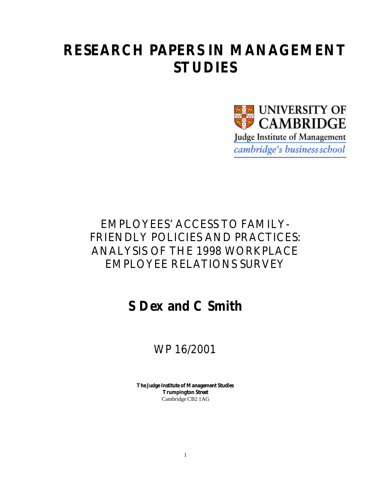# **RESEARCH PAPERS IN MANAGEMENT STUDIES**



## EMPLOYEES' ACCESS TO FAMILY-FRIENDLY POLICIES AND PRACTICES: ANALYSIS OF THE 1998 WORKPLACE EMPLOYEE RELATIONS SURVEY

# **S Dex and C Smith**

WP 16/2001

**The Judge Institute of Management Studies Trumpington Street** Cambridge CB2 1AG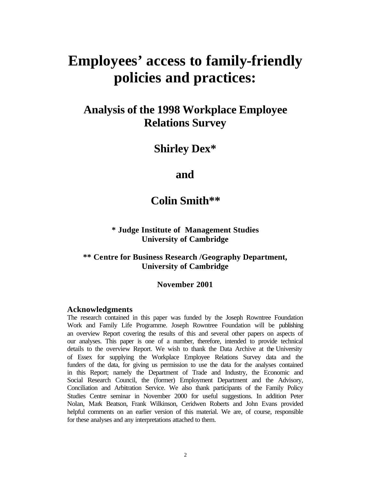# **Employees' access to family-friendly policies and practices:**

## **Analysis of the 1998 Workplace Employee Relations Survey**

**Shirley Dex\***

## **and**

## **Colin Smith\*\***

#### **\* Judge Institute of Management Studies University of Cambridge**

### **\*\* Centre for Business Research /Geography Department, University of Cambridge**

#### **November 2001**

#### **Acknowledgments**

The research contained in this paper was funded by the Joseph Rowntree Foundation Work and Family Life Programme. Joseph Rowntree Foundation will be publishing an overview Report covering the results of this and several other papers on aspects of our analyses. This paper is one of a number, therefore, intended to provide technical details to the overview Report. We wish to thank the Data Archive at the University of Essex for supplying the Workplace Employee Relations Survey data and the funders of the data, for giving us permission to use the data for the analyses contained in this Report; namely the Department of Trade and Industry, the Economic and Social Research Council, the (former) Employment Department and the Advisory, Conciliation and Arbitration Service. We also thank participants of the Family Policy Studies Centre seminar in November 2000 for useful suggestions. In addition Peter Nolan, Mark Beatson, Frank Wilkinson, Ceridwen Roberts and John Evans provided helpful comments on an earlier version of this material. We are, of course, responsible for these analyses and any interpretations attached to them.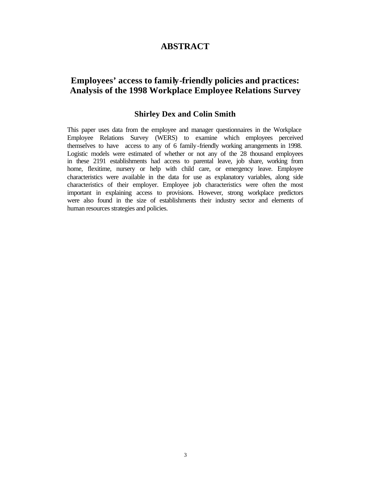### **ABSTRACT**

## **Employees' access to family-friendly policies and practices: Analysis of the 1998 Workplace Employee Relations Survey**

#### **Shirley Dex and Colin Smith**

This paper uses data from the employee and manager questionnaires in the Workplace Employee Relations Survey (WERS) to examine which employees perceived themselves to have access to any of 6 family-friendly working arrangements in 1998. Logistic models were estimated of whether or not any of the 28 thousand employees in these 2191 establishments had access to parental leave, job share, working from home, flexitime, nursery or help with child care, or emergency leave. Employee characteristics were available in the data for use as explanatory variables, along side characteristics of their employer. Employee job characteristics were often the most important in explaining access to provisions. However, strong workplace predictors were also found in the size of establishments their industry sector and elements of human resources strategies and policies.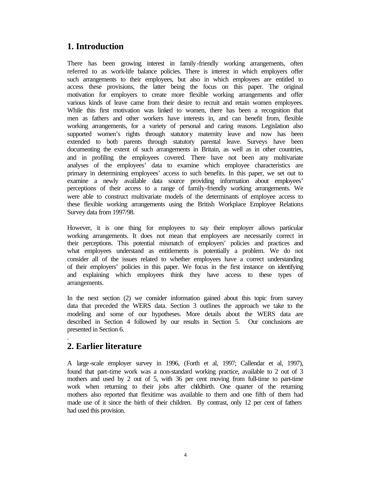## **1. Introduction**

There has been growing interest in family-friendly working arrangements, often referred to as work-life balance policies. There is interest in which employers offer such arrangements to their employees, but also in which employees are entitled to access these provisions, the latter being the focus on this paper. The original motivation for employers to create more flexible working arrangements and offer various kinds of leave came from their desire to recruit and retain women employees. While this first motivation was linked to women, there has been a recognition that men as fathers and other workers have interests in, and can benefit from, flexible working arrangements, for a variety of personal and caring reasons. Legislation also supported women's rights through statutory maternity leave and now has been extended to both parents through statutory parental leave. Surveys have been documenting the extent of such arrangements in Britain, as well as in other countries, and in profiling the employees covered. There have not been any multivariate analyses of the employees' data to examine which employee characteristics are primary in determining employees' access to such benefits. In this paper, we set out to examine a newly available data source providing information about employees' perceptions of their access to a range of family-friendly working arrangements. We were able to construct multivariate models of the determinants of employee access to these flexible working arrangements using the British Workplace Employee Relations Survey data from 1997/98.

However, it is one thing for employees to say their employer allows particular working arrangements. It does not mean that employees are necessarily correct in their perceptions. This potential mismatch of employers' policies and practices and what employees understand as entitlements is potentially a problem. We do not consider all of the issues related to whether employees have a correct understanding of their employers' policies in this paper. We focus in the first instance on identifying and explaining which employees think they have access to these types of arrangements.

In the next section (2) we consider information gained about this topic from survey data that preceded the WERS data. Section 3 outlines the approach we take to the modeling and some of our hypotheses. More details about the WERS data are described in Section 4 followed by our results in Section 5. Our conclusions are presented in Section 6.

## **2. Earlier literature**

.

A large-scale employer survey in 1996, (Forth et al, 1997; Callendar et al, 1997), found that part-time work was a non-standard working practice, available to 2 out of 3 mothers and used by 2 out of 5, with 36 per cent moving from full-time to part-time work when returning to their jobs after childbirth. One quarter of the returning mothers also reported that flexitime was available to them and one fifth of them had made use of it since the birth of their children. By contrast, only 12 per cent of fathers had used this provision.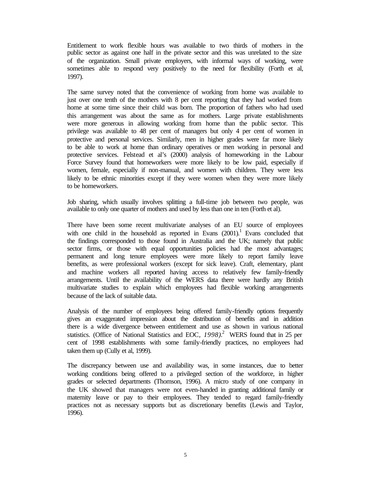Entitlement to work flexible hours was available to two thirds of mothers in the public sector as against one half in the private sector and this was unrelated to the size of the organization. Small private employers, with informal ways of working, were sometimes able to respond very positively to the need for flexibility (Forth et al, 1997).

The same survey noted that the convenience of working from home was available to just over one tenth of the mothers with 8 per cent reporting that they had worked from home at some time since their child was born. The proportion of fathers who had used this arrangement was about the same as for mothers. Large private establishments were more generous in allowing working from home than the public sector. This privilege was available to 48 per cent of managers but only 4 per cent of women in protective and personal services. Similarly, men in higher grades were far more likely to be able to work at home than ordinary operatives or men working in personal and protective services. Felstead et al's (2000) analysis of homeworking in the Labour Force Survey found that homeworkers were more likely to be low paid, especially if women, female, especially if non-manual, and women with children. They were less likely to be ethnic minorities except if they were women when they were more likely to be homeworkers.

Job sharing, which usually involves splitting a full-time job between two people, was available to only one quarter of mothers and used by less than one in ten (Forth et al).

There have been some recent multivariate analyses of an EU source of employees with one child in the household as reported in Evans  $(2001)$ .<sup>1</sup> Evans concluded that the findings corresponded to those found in Australia and the UK; namely that public sector firms, or those with equal opportunities policies had the most advantages; permanent and long tenure employees were more likely to report family leave benefits, as were professional workers (except for sick leave). Craft, elementary, plant and machine workers all reported having access to relatively few family-friendly arrangements. Until the availability of the WERS data there were hardly any British multivariate studies to explain which employees had flexible working arrangements because of the lack of suitable data.

Analysis of the number of employees being offered family-friendly options frequently gives an exaggerated impression about the distribution of benefits and in addition there is a wide divergence between entitlement and use as shown in various national statistics. (Office of National Statistics and EOC*, 1998)*. 2 WERS found that in 25 per cent of 1998 establishments with some family-friendly practices, no employees had taken them up (Cully et al, 1999).

The discrepancy between use and availability was, in some instances, due to better working conditions being offered to a privileged section of the workforce, in higher grades or selected departments (Thomson, 1996). A micro study of one company in the UK showed that managers were not even-handed in granting additional family or maternity leave or pay to their employees. They tended to regard family-friendly practices not as necessary supports but as discretionary benefits (Lewis and Taylor, 1996).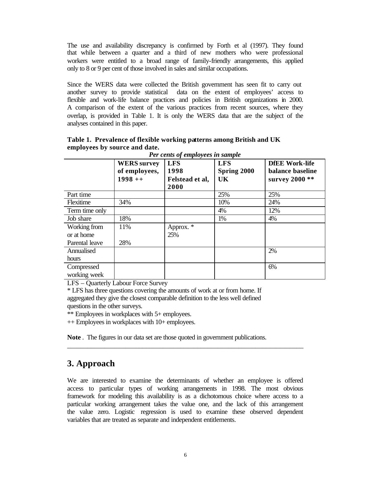The use and availability discrepancy is confirmed by Forth et al (1997). They found that while between a quarter and a third of new mothers who were professional workers were entitled to a broad range of family-friendly arrangements, this applied only to 8 or 9 per cent of those involved in sales and similar occupations.

Since the WERS data were collected the British government has seen fit to carry out another survey to provide statistical data on the extent of employees' access to flexible and work-life balance practices and policies in British organizations in 2000. A comparison of the extent of the various practices from recent sources, where they overlap, is provided in Table 1. It is only the WERS data that are the subject of the analyses contained in this paper.

| Table 1. Prevalence of flexible working patterns among British and UK |
|-----------------------------------------------------------------------|
| employees by source and date.                                         |
| Por conts of omnloyoes in sample                                      |

|                |                                     | <b>The complete the control of the control of the control of the control of the control of the control of the control of the control of the control of the control of the control of the control of the control of the control o</b> |                                  |                                           |
|----------------|-------------------------------------|--------------------------------------------------------------------------------------------------------------------------------------------------------------------------------------------------------------------------------------|----------------------------------|-------------------------------------------|
|                | <b>WERS</b> survey<br>of employees, | <b>LFS</b><br>1998                                                                                                                                                                                                                   | <b>LFS</b><br><b>Spring 2000</b> | <b>DfEE Work-life</b><br>balance baseline |
|                |                                     |                                                                                                                                                                                                                                      |                                  |                                           |
|                | $1998++$                            | Felstead et al,                                                                                                                                                                                                                      | UK                               | survey 2000 **                            |
|                |                                     | 2000                                                                                                                                                                                                                                 |                                  |                                           |
| Part time      |                                     |                                                                                                                                                                                                                                      | 25%                              | 25%                                       |
| Flexitime      | 34%                                 |                                                                                                                                                                                                                                      | 10%                              | 24%                                       |
| Term time only |                                     |                                                                                                                                                                                                                                      | 4%                               | 12%                                       |
| Job share      | 18%                                 |                                                                                                                                                                                                                                      | 1%                               | 4%                                        |
| Working from   | 11%                                 | Approx. *                                                                                                                                                                                                                            |                                  |                                           |
| or at home     |                                     | 25%                                                                                                                                                                                                                                  |                                  |                                           |
| Parental leave | 28%                                 |                                                                                                                                                                                                                                      |                                  |                                           |
| Annualised     |                                     |                                                                                                                                                                                                                                      |                                  | 2%                                        |
| hours          |                                     |                                                                                                                                                                                                                                      |                                  |                                           |
| Compressed     |                                     |                                                                                                                                                                                                                                      |                                  | 6%                                        |
| working week   |                                     |                                                                                                                                                                                                                                      |                                  |                                           |

LFS – Quarterly Labour Force Survey

\* LFS has three questions covering the amounts of work at or from home. If aggregated they give the closest comparable definition to the less well defined questions in the other surveys.

\*\* Employees in workplaces with 5+ employees.

++ Employees in workplaces with 10+ employees.

**Note** . The figures in our data set are those quoted in government publications.

## **3. Approach**

We are interested to examine the determinants of whether an employee is offered access to particular types of working arrangements in 1998. The most obvious framework for modeling this availability is as a dichotomous choice where access to a particular working arrangement takes the value one, and the lack of this arrangement the value zero. Logistic regression is used to examine these observed dependent variables that are treated as separate and independent entitlements.

\_\_\_\_\_\_\_\_\_\_\_\_\_\_\_\_\_\_\_\_\_\_\_\_\_\_\_\_\_\_\_\_\_\_\_\_\_\_\_\_\_\_\_\_\_\_\_\_\_\_\_\_\_\_\_\_\_\_\_\_\_\_\_\_\_\_\_\_\_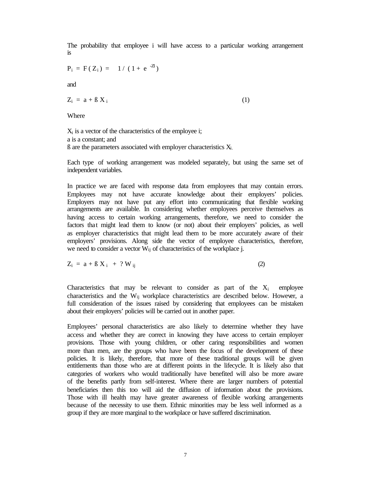The probability that employee i will have access to a particular working arrangement is

$$
P_i = F(Z_i) = 1/(1 + e^{-Z})
$$

and

$$
Z_i = a + \beta X_i \tag{1}
$$

Where

Xi is a vector of the characteristics of the employee i; a is a constant; and ß are the parameters associated with employer characteristics Xi.

Each type of working arrangement was modeled separately, but using the same set of independent variables.

In practice we are faced with response data from employees that may contain errors. Employees may not have accurate knowledge about their employers' policies. Employers may not have put any effort into communicating that flexible working arrangements are available. In considering whether employees perceive themselves as having access to certain working arrangements, therefore, we need to consider the factors that might lead them to know (or not) about their employers' policies, as well as employer characteristics that might lead them to be more accurately aware of their employers' provisions. Along side the vector of employee characteristics, therefore, we need to consider a vector Wij of characteristics of the workplace j.

$$
Z_i = a + \beta X_i + ?W_{ij}
$$
 (2)

Characteristics that may be relevant to consider as part of the  $X_i$  employee characteristics and the Wij workplace characteristics are described below. However, a full consideration of the issues raised by considering that employees can be mistaken about their employers' policies will be carried out in another paper.

Employees' personal characteristics are also likely to determine whether they have access and whether they are correct in knowing they have access to certain employer provisions. Those with young children, or other caring responsibilities and women more than men, are the groups who have been the focus of the development of these policies. It is likely, therefore, that more of these traditional groups will be given entitlements than those who are at different points in the lifecycle. It is likely also that categories of workers who would traditionally have benefited will also be more aware of the benefits partly from self-interest. Where there are larger numbers of potential beneficiaries then this too will aid the diffusion of information about the provisions. Those with ill health may have greater awareness of flexible working arrangements because of the necessity to use them. Ethnic minorities may be less well informed as a group if they are more marginal to the workplace or have suffered discrimination.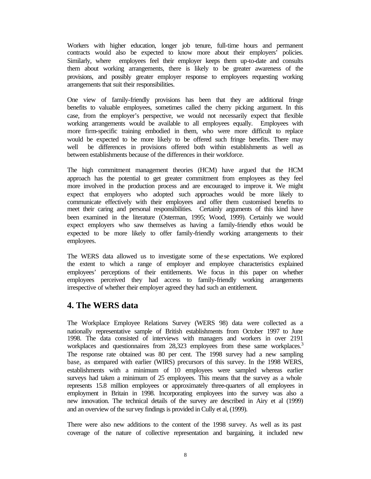Workers with higher education, longer job tenure, full-time hours and permanent contracts would also be expected to know more about their employers' policies. Similarly, where employees feel their employer keeps them up-to-date and consults them about working arrangements, there is likely to be greater awareness of the provisions, and possibly greater employer response to employees requesting working arrangements that suit their responsibilities.

One view of family-friendly provisions has been that they are additional fringe benefits to valuable employees, sometimes called the cherry picking argument. In this case, from the employer's perspective, we would not necessarily expect that flexible working arrangements would be available to all employees equally. Employees with more firm-specific training embodied in them, who were more difficult to replace would be expected to be more likely to be offered such fringe benefits. There may well be differences in provisions offered both within establishments as well as between establishments because of the differences in their workforce.

The high commitment management theories (HCM) have argued that the HCM approach has the potential to get greater commitment from employees as they feel more involved in the production process and are encouraged to improve it. We might expect that employers who adopted such approaches would be more likely to communicate effectively with their employees and offer them customised benefits to meet their caring and personal responsibilities. Certainly arguments of this kind have been examined in the literature (Osterman, 1995; Wood, 1999). Certainly we would expect employers who saw themselves as having a family-friendly ethos would be expected to be more likely to offer family-friendly working arrangements to their employees.

The WERS data allowed us to investigate some of these expectations. We explored the extent to which a range of employer and employee characteristics explained employees' perceptions of their entitlements. We focus in this paper on whether employees perceived they had access to family-friendly working arrangements irrespective of whether their employer agreed they had such an entitlement.

## **4. The WERS data**

The Workplace Employee Relations Survey (WERS 98) data were collected as a nationally representative sample of British establishments from October 1997 to June 1998. The data consisted of interviews with managers and workers in over 2191 workplaces and questionnaires from 28,323 employees from these same workplaces.<sup>3</sup> The response rate obtained was 80 per cent. The 1998 survey had a new sampling base, as compared with earlier (WIRS) precursors of this survey. In the 1998 WERS, establishments with a minimum of 10 employees were sampled whereas earlier surveys had taken a minimum of 25 employees. This means that the survey as a whole represents 15.8 million employees or approximately three-quarters of all employees in employment in Britain in 1998. Incorporating employees into the survey was also a new innovation. The technical details of the survey are described in Airy et al (1999) and an overview of the survey findings is provided in Cully et al, (1999).

There were also new additions to the content of the 1998 survey. As well as its past coverage of the nature of collective representation and bargaining, it included new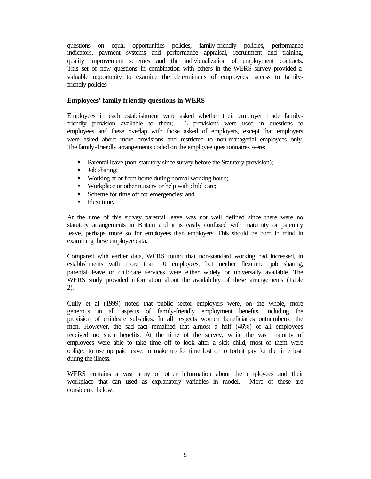questions on equal opportunities policies, family-friendly policies, performance indicators, payment systems and performance appraisal, recruitment and training, quality improvement schemes and the individualization of employment contracts. This set of new questions in combination with others in the WERS survey provided a valuable opportunity to examine the determinants of employees' access to familyfriendly policies.

#### **Employees' family-friendly questions in WERS**

Employees in each establishment were asked whether their employer made familyfriendly provision available to them; 6 provisions were used in questions to employees and these overlap with those asked of employers, except that employers were asked about more provisions and restricted to non-managerial employees only. The family-friendly arrangements coded on the employee questionnaires were:

- Parental leave (non-statutory since survey before the Statutory provision);
- **Job sharing;**
- **Working at or from home during normal working hours;**
- **Workplace or other nursery or help with child care;**
- Scheme for time off for emergencies; and
- $\blacksquare$  Flexi time.

At the time of this survey parental leave was not well defined since there were no statutory arrangements in Britain and it is easily confused with maternity or paternity leave, perhaps more so for employees than employers. This should be born in mind in examining these employee data.

Compared with earlier data, WERS found that non-standard working had increased, in establishments with more than 10 employees, but neither flexitime, job sharing, parental leave or childcare services were either widely or universally available. The WERS study provided information about the availability of these arrangements (Table 2).

Cully et al (1999) noted that public sector employers were, on the whole, more generous in all aspects of family-friendly employment benefits, including the provision of childcare subsidies. In all respects women beneficiaries outnumbered the men. However, the sad fact remained that almost a half (46%) of all employees received no such benefits. At the time of the survey, while the vast majority of employees were able to take time off to look after a sick child, most of them were obliged to use up paid leave, to make up for time lost or to forfeit pay for the time lost during the illness.

WERS contains a vast array of other information about the employees and their workplace that can used as explanatory variables in model. More of these are considered below.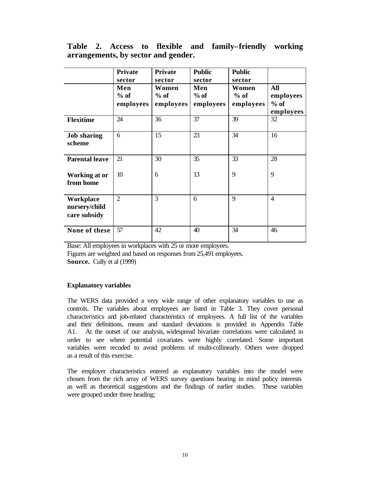|  |  |                                     | Table 2. Access to flexible and family–friendly working |  |
|--|--|-------------------------------------|---------------------------------------------------------|--|
|  |  | arrangements, by sector and gender. |                                                         |  |

|                                            | <b>Private</b><br>sector   | <b>Private</b><br>sector     | <b>Public</b><br>sector    | <b>Public</b><br>sector      |                                                |
|--------------------------------------------|----------------------------|------------------------------|----------------------------|------------------------------|------------------------------------------------|
|                                            | Men<br>$%$ of<br>employees | Women<br>$%$ of<br>employees | Men<br>$%$ of<br>employees | Women<br>$%$ of<br>employees | <b>All</b><br>employees<br>$%$ of<br>employees |
| <b>Flexitime</b>                           | 24                         | 36                           | 37                         | 39                           | 32                                             |
| <b>Job sharing</b><br>scheme               | 6                          | 15                           | 23                         | 34                           | 16                                             |
| <b>Parental leave</b>                      | 21                         | 30                           | 35                         | 33                           | 28                                             |
| Working at or<br>from home                 | 10                         | 6                            | 13                         | 9                            | 9                                              |
| Workplace<br>nursery/child<br>care subsidy | $\overline{2}$             | 3                            | 6                          | 9                            | $\overline{4}$                                 |
| None of these                              | 57                         | 42                           | 40                         | 34                           | 46                                             |

Base: All employees in workplaces with 25 or more employees. Figures are weighted and based on responses from 25,491 employees. **Source.** Cully et al (1999)

#### **Explanatory variables**

The WERS data provided a very wide range of other explanatory variables to use as controls. The variables about employees are listed in Table 3. They cover personal characteristics and job-related characteristics of employees. A full list of the variables and their definitions, means and standard deviations is provided in Appendix Table A1. At the outset of our analysis, widespread bivariate correlations were calculated in order to see where potential covariates were highly correlated. Some important variables were recoded to avoid problems of multi-collinearly. Others were dropped as a result of this exercise.

The employer characteristics entered as explanatory variables into the model were chosen from the rich array of WERS survey questions bearing in mind policy interests as well as theoretical suggestions and the findings of earlier studies. These variables were grouped under three heading;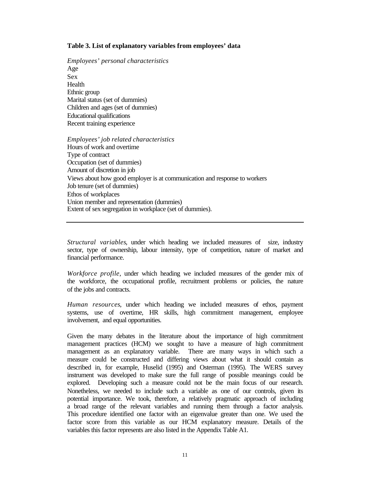#### **Table 3. List of explanatory variables from employees' data**

*Employees' personal characteristics* Age Sex **Health** Ethnic group Marital status (set of dummies) Children and ages (set of dummies) Educational qualifications Recent training experience *Employees' job related characteristics* Hours of work and overtime Type of contract Occupation (set of dummies) Amount of discretion in job Views about how good employer is at communication and response to workers Job tenure (set of dummies) Ethos of workplaces Union member and representation (dummies) Extent of sex segregation in workplace (set of dummies).

*Structural variables*, under which heading we included measures of size, industry sector, type of ownership, labour intensity, type of competition, nature of market and financial performance.

*Workforce profile*, under which heading we included measures of the gender mix of the workforce, the occupational profile, recruitment problems or policies, the nature of the jobs and contracts.

*Human resources*, under which heading we included measures of ethos, payment systems, use of overtime, HR skills, high commitment management, employee involvement, and equal opportunities.

Given the many debates in the literature about the importance of high commitment management practices (HCM) we sought to have a measure of high commitment management as an explanatory variable. There are many ways in which such a measure could be constructed and differing views about what it should contain as described in, for example, Huselid (1995) and Osterman (1995). The WERS survey instrument was developed to make sure the full range of possible meanings could be explored. Developing such a measure could not be the main focus of our research. Nonetheless, we needed to include such a variable as one of our controls, given its potential importance. We took, therefore, a relatively pragmatic approach of including a broad range of the relevant variables and running them through a factor analysis. This procedure identified one factor with an eigenvalue greater than one. We used the factor score from this variable as our HCM explanatory measure. Details of the variables this factor represents are also listed in the Appendix Table A1.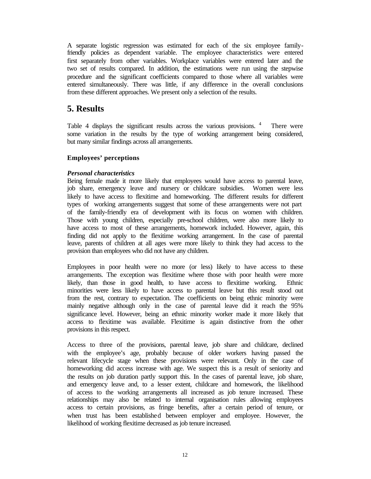A separate logistic regression was estimated for each of the six employee familyfriendly policies as dependent variable. The employee characteristics were entered first separately from other variables. Workplace variables were entered later and the two set of results compared. In addition, the estimations were run using the stepwise procedure and the significant coefficients compared to those where all variables were entered simultaneously. There was little, if any difference in the overall conclusions from these different approaches. We present only a selection of the results.

## **5. Results**

Table 4 displays the significant results across the various provisions. <sup>4</sup> There were some variation in the results by the type of working arrangement being considered, but many similar findings across all arrangements.

#### **Employees' perceptions**

#### *Personal characteristics*

Being female made it more likely that employees would have access to parental leave, job share, emergency leave and nursery or childcare subsidies. Women were less likely to have access to flexitime and homeworking. The different results for different types of working arrangements suggest that some of these arrangements were not part of the family-friendly era of development with its focus on women with children. Those with young children, especially pre-school children, were also more likely to have access to most of these arrangements, homework included. However, again, this finding did not apply to the flexitime working arrangement. In the case of parental leave, parents of children at all ages were more likely to think they had access to the provision than employees who did not have any children.

Employees in poor health were no more (or less) likely to have access to these arrangements. The exception was flexitime where those with poor health were more likely, than those in good health, to have access to flexitime working. Ethnic minorities were less likely to have access to parental leave but this result stood out from the rest, contrary to expectation. The coefficients on being ethnic minority were mainly negative although only in the case of parental leave did it reach the 95% significance level. However, being an ethnic minority worker made it more likely that access to flexitime was available. Flexitime is again distinctive from the other provisions in this respect.

Access to three of the provisions, parental leave, job share and childcare, declined with the employee's age, probably because of older workers having passed the relevant lifecycle stage when these provisions were relevant. Only in the case of homeworking did access increase with age. We suspect this is a result of seniority and the results on job duration partly support this. In the cases of parental leave, job share, and emergency leave and, to a lesser extent, childcare and homework, the likelihood of access to the working arrangements all increased as job tenure increased. These relationships may also be related to internal organisation rules allowing employees access to certain provisions, as fringe benefits, after a certain period of tenure, or when trust has been established between employer and employee. However, the likelihood of working flexitime decreased as job tenure increased.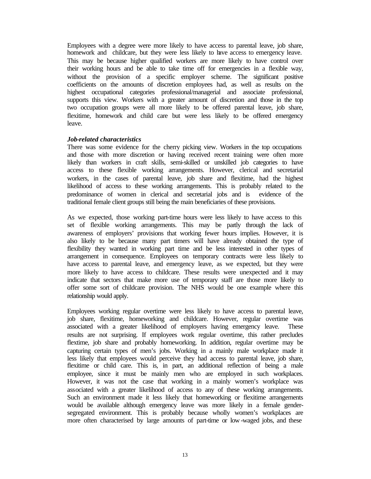Employees with a degree were more likely to have access to parental leave, job share, homework and childcare, but they were less likely to have access to emergency leave. This may be because higher qualified workers are more likely to have control over their working hours and be able to take time off for emergencies in a flexible way, without the provision of a specific employer scheme. The significant positive coefficients on the amounts of discretion employees had, as well as results on the highest occupational categories professional/managerial and associate professional, supports this view. Workers with a greater amount of discretion and those in the top two occupation groups were all more likely to be offered parental leave, job share, flexitime, homework and child care but were less likely to be offered emergency leave.

#### *Job-related characteristics*

There was some evidence for the cherry picking view. Workers in the top occupations and those with more discretion or having received recent training were often more likely than workers in craft skills, semi-skilled or unskilled job categories to have access to these flexible working arrangements. However, clerical and secretarial workers, in the cases of parental leave, job share and flexitime, had the highest likelihood of access to these working arrangements. This is probably related to the predominance of women in clerical and secretarial jobs and is evidence of the traditional female client groups still being the main beneficiaries of these provisions.

As we expected, those working part-time hours were less likely to have access to this set of flexible working arrangements. This may be partly through the lack of awareness of employers' provisions that working fewer hours implies. However, it is also likely to be because many part timers will have already obtained the type of flexibility they wanted in working part time and be less interested in other types of arrangement in consequence. Employees on temporary contracts were less likely to have access to parental leave, and emergency leave, as we expected, but they were more likely to have access to childcare. These results were unexpected and it may indicate that sectors that make more use of temporary staff are those more likely to offer some sort of childcare provision. The NHS would be one example where this relationship would apply.

Employees working regular overtime were less likely to have access to parental leave, job share, flexitime, homeworking and childcare. However, regular overtime was associated with a greater likelihood of employers having emergency leave. These results are not surprising. If employees work regular overtime, this rather precludes flextime, job share and probably homeworking. In addition, regular overtime may be capturing certain types of men's jobs. Working in a mainly male workplace made it less likely that employees would perceive they had access to parental leave, job share, flexitime or child care. This is, in part, an additional reflection of being a male employee, since it must be mainly men who are employed in such workplaces. However, it was not the case that working in a mainly women's workplace was associated with a greater likelihood of access to any of these working arrangements. Such an environment made it less likely that homeworking or flexitime arrangements would be available although emergency leave was more likely in a female gendersegregated environment. This is probably because wholly women's workplaces are more often characterised by large amounts of part-time or low-waged jobs, and these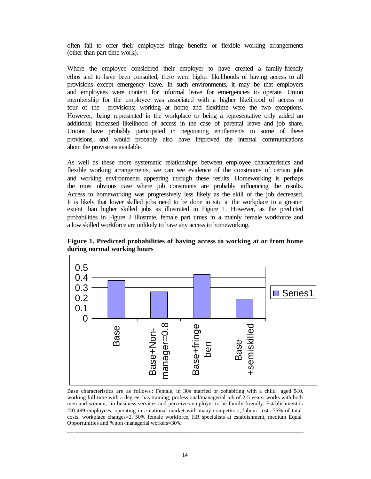often fail to offer their employees fringe benefits or flexible working arrangements (other than part-time work).

Where the employee considered their employer to have created a family-friendly ethos and to have been consulted, there were higher likelihoods of having access to all provisions except emergency leave. In such environments, it may be that employers and employees were content for informal leave for emergencies to operate. Union membership for the employee was associated with a higher likelihood of access to four of the provisions; working at home and flexitime were the two exceptions. However, being represented in the workplace or being a representative only added an additional increased likelihood of access in the case of parental leave and job share. Unions have probably participated in negotiating entitlements to some of these provisions, and would probably also have improved the internal communications about the provisions available.

As well as these more systematic relationships between employee characteristics and flexible working arrangements, we can see evidence of the constraints of certain jobs and working environments appearing through these results. Homeworking is perhaps the most obvious case where job constraints are probably influencing the results. Access to homeworking was progressively less likely as the skill of the job decreased. It is likely that lower skilled jobs need to be done in situ at the workplace to a greater extent than higher skilled jobs as illustrated in Figure 1. However, as the predicted probabilities in Figure 2 illustrate, female part times in a mainly female workforce and a low skilled workforce are unlikely to have any access to homeworking.

**Figure 1. Predicted probabilities of having access to working at or from home during normal working hours**



Base characteristics are as follows: Female, in 30s married or cohabiting with a child aged 510, working full time with a degree, has training, professional/managerial job of 2-5 years, works with both men and women, in business services and perceives employer to be family-friendly. Establishment is 200-499 employees, operating in a national market with many competitors, labour costs 75% of total costs, workplace changes=2, 50% female workforce, HR specialists at establishment, medium Equal Opportunities and %non-managerial workers=30%

\_\_\_\_\_\_\_\_\_\_\_\_\_\_\_\_\_\_\_\_\_\_\_\_\_\_\_\_\_\_\_\_\_\_\_\_\_\_\_\_\_\_\_\_\_\_\_\_\_\_\_\_\_\_\_\_\_\_\_\_\_\_\_\_\_\_\_\_\_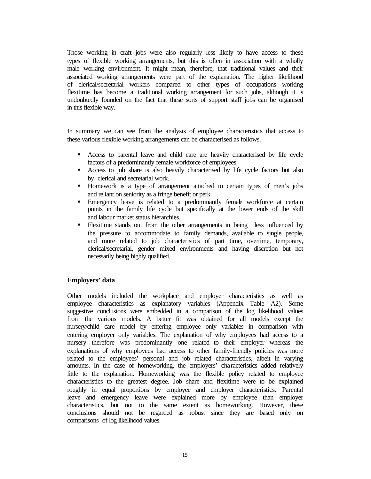Those working in craft jobs were also regularly less likely to have access to these types of flexible working arrangements, but this is often in association with a wholly male working environment. It might mean, therefore, that traditional values and their associated working arrangements were part of the explanation. The higher likelihood of clerical/secretarial workers compared to other types of occupations working flexitime has become a traditional working arrangement for such jobs, although it is undoubtedly founded on the fact that these sorts of support staff jobs can be organised in this flexible way.

In summary we can see from the analysis of employee characteristics that access to these various flexible working arrangements can be characterised as follows.

- ß Access to parental leave and child care are heavily characterised by life cycle factors of a predominantly female workforce of employees.
- Access to job share is also heavily characterised by life cycle factors but also by clerical and secretarial work.
- ß Homework is a type of arrangement attached to certain types of men's jobs and reliant on seniority as a fringe benefit or perk.
- **Emergency leave is related to a predominantly female workforce at certain** points in the family life cycle but specifically at the lower ends of the skill and labour market status hierarchies.
- ß Flexitime stands out from the other arrangements in being less influenced by the pressure to accommodate to family demands, available to single people, and more related to job characteristics of part time, overtime, temporary, clerical/secretarial, gender mixed environments and having discretion but not necessarily being highly qualified.

#### **Employers' data**

Other models included the workplace and employer characteristics as well as employee characteristics as explanatory variables (Appendix Table A2). Some suggestive conclusions were embedded in a comparison of the log likelihood values from the various models. A better fit was obtained for all models except the nursery/child care model by entering employee only variables in comparison with entering employer only variables. The explanation of why employees had access to a nursery therefore was predominantly one related to their employer whereas the explanations of why employees had access to other family-friendly policies was more related to the employees' personal and job related characteristics, albeit in varying amounts. In the case of homeworking, the employers' characteristics added relatively little to the explanation. Homeworking was the flexible policy related to employee characteristics to the greatest degree. Job share and flexitime were to be explained roughly in equal proportions by employee and employer characteristics. Parental leave and emergency leave were explained more by employee than employer characteristics, but not to the same extent as homeworking. However, these conclusions should not be regarded as robust since they are based only on comparisons of log likelihood values.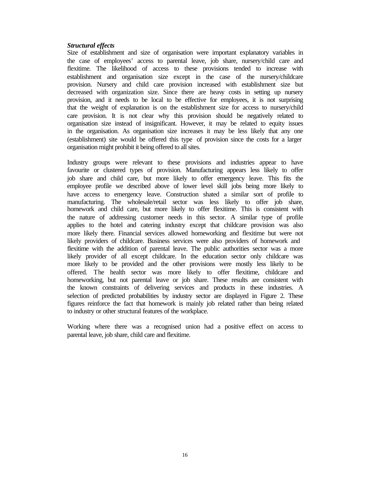#### *Structural effects*

Size of establishment and size of organisation were important explanatory variables in the case of employees' access to parental leave, job share, nursery/child care and flexitime. The likelihood of access to these provisions tended to increase with establishment and organisation size except in the case of the nursery/childcare provision. Nursery and child care provision increased with establishment size but decreased with organization size. Since there are heavy costs in setting up nursery provision, and it needs to be local to be effective for employees, it is not surprising that the weight of explanation is on the establishment size for access to nursery/child care provision. It is not clear why this provision should be negatively related to organisation size instead of insignificant. However, it may be related to equity issues in the organisation. As organisation size increases it may be less likely that any one (establishment) site would be offered this type of provision since the costs for a larger organisation might prohibit it being offered to all sites.

Industry groups were relevant to these provisions and industries appear to have favourite or clustered types of provision. Manufacturing appears less likely to offer job share and child care, but more likely to offer emergency leave. This fits the employee profile we described above of lower level skill jobs being more likely to have access to emergency leave. Construction shated a similar sort of profile to manufacturing. The wholesale/retail sector was less likely to offer job share, homework and child care, but more likely to offer flexitime. This is consistent with the nature of addressing customer needs in this sector. A similar type of profile applies to the hotel and catering industry except that childcare provision was also more likely there. Financial services allowed homeworking and flexitime but were not likely providers of childcare. Business services were also providers of homework and flexitime with the addition of parental leave. The public authorities sector was a more likely provider of all except childcare. In the education sector only childcare was more likely to be provided and the other provisions were mostly less likely to be offered. The health sector was more likely to offer flexitime, childcare and homeworking, but not parental leave or job share. These results are consistent with the known constraints of delivering services and products in these industries. A selection of predicted probabilities by industry sector are displayed in Figure 2. These figures reinforce the fact that homework is mainly job related rather than being related to industry or other structural features of the workplace.

Working where there was a recognised union had a positive effect on access to parental leave, job share, child care and flexitime.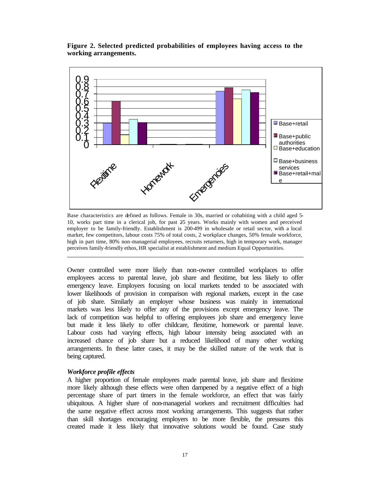

**Figure 2. Selected predicted probabilities of employees having access to the working arrangements.** 

Base characteristics are defined as follows. Female in 30s, married or cohabiting with a child aged 5- 10, works part time in a clerical job, for past 25 years. Works mainly with women and perceived employer to be family-friendly. Establishment is 200-499 in wholesale or retail sector, with a local market, few competitors, labour costs 75% of total costs, 2 workplace changes, 50% female workforce, high in part time, 80% non-managerial employees, recruits returners, high in temporary work, manager perceives family-friendly ethos, HR specialist at establishment and medium Equal Opportunities. \_\_\_\_\_\_\_\_\_\_\_\_\_\_\_\_\_\_\_\_\_\_\_\_\_\_\_\_\_\_\_\_\_\_\_\_\_\_\_\_\_\_\_\_\_\_\_\_\_\_\_\_\_\_\_\_\_\_\_\_\_\_\_\_\_\_\_\_\_

Owner controlled were more likely than non-owner controlled workplaces to offer employees access to parental leave, job share and flexitime, but less likely to offer emergency leave. Employers focusing on local markets tended to be associated with lower likelihoods of provision in comparison with regional markets, except in the case of job share. Similarly an employer whose business was mainly in international markets was less likely to offer any of the provisions except emergency leave. The lack of competition was helpful to offering employees job share and emergency leave but made it less likely to offer childcare, flexitime, homework or parental leave. Labour costs had varying effects, high labour intensity being associated with an increased chance of job share but a reduced likelihood of many other working arrangements. In these latter cases, it may be the skilled nature of the work that is being captured.

#### *Workforce profile effects*

A higher proportion of female employees made parental leave, job share and flexitime more likely although these effects were often dampened by a negative effect of a high percentage share of part timers in the female workforce, an effect that was fairly ubiquitous. A higher share of non-managerial workers and recruitment difficulties had the same negative effect across most working arrangements. This suggests that rather than skill shortages encouraging employers to be more flexible, the pressures this created made it less likely that innovative solutions would be found. Case study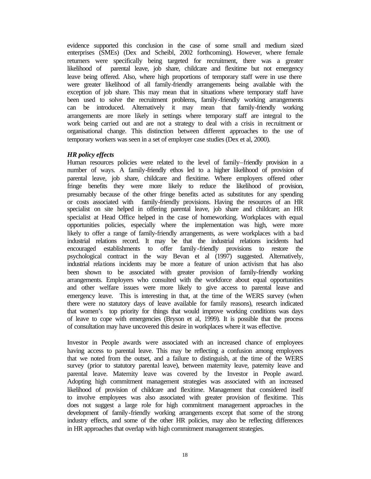evidence supported this conclusion in the case of some small and medium sized enterprises (SMEs) (Dex and Scheibl, 2002 forthcoming). However, where female returners were specifically being targeted for recruitment, there was a greater likelihood of parental leave, job share, childcare and flexitime but not emergency leave being offered. Also, where high proportions of temporary staff were in use there were greater likelihood of all family-friendly arrangements being available with the exception of job share. This may mean that in situations where temporary staff have been used to solve the recruitment problems, family-friendly working arrangements can be introduced. Alternatively it may mean that family-friendly working arrangements are more likely in settings where temporary staff are integral to the work being carried out and are not a strategy to deal with a crisis in recruitment or organisational change. This distinction between different approaches to the use of temporary workers was seen in a set of employer case studies (Dex et al, 2000).

#### *HR policy effects*

Human resources policies were related to the level of family–friendly provision in a number of ways. A family-friendly ethos led to a higher likelihood of provision of parental leave, job share, childcare and flexitime. Where employers offered other fringe benefits they were more likely to reduce the likelihood of provision, presumably because of the other fringe benefits acted as substitutes for any spending or costs associated with family-friendly provisions. Having the resources of an HR specialist on site helped in offering parental leave, job share and childcare; an HR specialist at Head Office helped in the case of homeworking. Workplaces with equal opportunities policies, especially where the implementation was high, were more likely to offer a range of family-friendly arrangements, as were workplaces with a bad industrial relations record. It may be that the industrial relations incidents had encouraged establishments to offer family-friendly provisions to restore the psychological contract in the way Bevan et al (1997) suggested. Alternatively, industrial relations incidents may be more a feature of union activism that has also been shown to be associated with greater provision of family-friendly working arrangements. Employers who consulted with the workforce about equal opportunities and other welfare issues were more likely to give access to parental leave and emergency leave. This is interesting in that, at the time of the WERS survey (when there were no statutory days of leave available for family reasons), research indicated that women's top priority for things that would improve working conditions was days of leave to cope with emergencies (Bryson et al, 1999). It is possible that the process of consultation may have uncovered this desire in workplaces where it was effective.

Investor in People awards were associated with an increased chance of employees having access to parental leave. This may be reflecting a confusion among employees that we noted from the outset, and a failure to distinguish, at the time of the WERS survey (prior to statutory parental leave), between maternity leave, paternity leave and parental leave. Maternity leave was covered by the Investor in People award. Adopting high commitment management strategies was associated with an increased likelihood of provision of childcare and flexitime. Management that considered itself to involve employees was also associated with greater provision of flexitime. This does not suggest a large role for high commitment management approaches in the development of family-friendly working arrangements except that some of the strong industry effects, and some of the other HR policies, may also be reflecting differences in HR approaches that overlap with high commitment management strategies.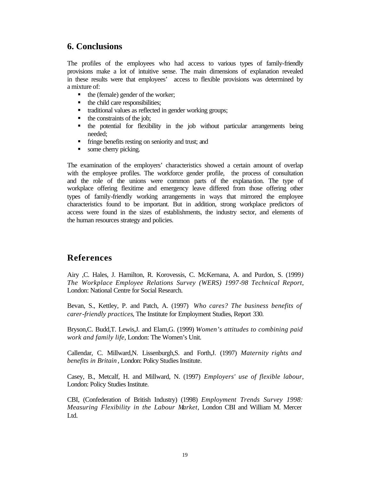### **6. Conclusions**

The profiles of the employees who had access to various types of family-friendly provisions make a lot of intuitive sense. The main dimensions of explanation revealed in these results were that employees' access to flexible provisions was determined by a mixture of:

- ß the (female) gender of the worker;
- the child care responsibilities;
- traditional values as reflected in gender working groups;
- $\blacksquare$  the constraints of the job;
- the potential for flexibility in the job without particular arrangements being needed;
- fringe benefits resting on seniority and trust; and
- some cherry picking.

The examination of the employers' characteristics showed a certain amount of overlap with the employee profiles. The workforce gender profile, the process of consultation and the role of the unions were common parts of the explanation. The type of workplace offering flexitime and emergency leave differed from those offering other types of family-friendly working arrangements in ways that mirrored the employee characteristics found to be important. But in addition, strong workplace predictors of access were found in the sizes of establishments, the industry sector, and elements of the human resources strategy and policies.

## **References**

Airy ,C. Hales, J. Hamilton, R. Korovessis, C. McKernana, A. and Purdon, S. (1999*) The Workplace Employee Relations Survey (WERS) 1997-98 Technical Report*, London: National Centre for Social Research.

Bevan, S., Kettley, P. and Patch, A. (1997) *Who cares? The business benefits of carer-friendly practices*, The Institute for Employment Studies, Report 330.

Bryson,C. Budd,T. Lewis,J. and Elam,G. (1999) *Women's attitudes to combining paid work and family life*, London: The Women's Unit.

Callendar, C. Millward,N. Lissenburgh,S. and Forth,J. (1997) *Maternity rights and benefits in Britain* , London: Policy Studies Institute.

Casey, B., Metcalf, H. and Millward, N. (1997) *Employers' use of flexible labour*, London: Policy Studies Institute.

CBI, (Confederation of British Industry) (1998) *Employment Trends Survey 1998: Measuring Flexibility in the Labour Market,* London CBI and William M. Mercer Ltd.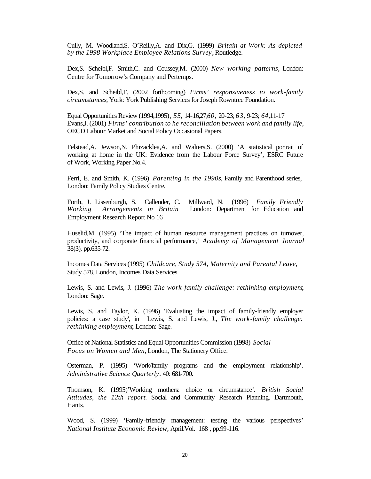Cully, M. Woodland,S. O'Reilly,A. and Dix,G. (1999) *Britain at Work: As depicted by the 1998 Workplace Employee Relations Survey*, Routledge.

Dex,S. Scheibl,F. Smith,C. and Coussey,M. (2000) *New working patterns*, London: Centre for Tomorrow's Company and Pertemps.

Dex,S. and Scheibl,F. (2002 forthcoming) *Firms' responsiveness to work-family circumstances*, York: York Publishing Services for Joseph Rowntree Foundation.

Equal Opportunities Review (1994,1995)*, 55,* 14-16,27;*60,* 20-23; *63*, 9-23; *64*,11-17 Evans,J. (2001) *Firms' contribution to he reconciliation between work and family life*, OECD Labour Market and Social Policy Occasional Papers.

Felstead,A. Jewson,N. Phizacklea,A. and Walters,S. (2000) 'A statistical portrait of working at home in the UK: Evidence from the Labour Force Survey', ESRC Future of Work, Working Paper No.4.

Ferri, E. and Smith, K. (1996) *Parenting in the 1990s*, Family and Parenthood series, London: Family Policy Studies Centre.

Forth, J. Lissenburgh, S. Callender, C. Millward, N. (1996) *Family Friendly Working Arrangements in Britain* London: Department for Education and Employment Research Report No 16

Huselid,M. (1995) 'The impact of human resource management practices on turnover, productivity, and corporate financial performance,' *Academy of Management Journal* 38(3), pp.635-72.

Incomes Data Services (1995) *Childcare, Study 574, Maternity and Parental Leave,*  Study 578*,* London, Incomes Data Services

Lewis, S. and Lewis, J. (1996) *The work-family challenge: rethinking employment*, London: Sage.

Lewis, S. and Taylor, K. (1996) 'Evaluating the impact of family-friendly employer policies: a case study', in Lewis, S. and Lewis, J., *The work-family challenge: rethinking employment*, London: Sage.

Office of National Statistics and Equal Opportunities Commission (1998) *Social Focus on Women and Men,* London, The Stationery Office.

Osterman, P. (1995) 'Work/family programs and the employment relationship'. *Administrative Science Quarterly.* 40: 681-700.

Thomson, K. (1995)'Working mothers: choice or circumstance'*. British Social Attitudes, the 12th report.* Social and Community Research Planning. Dartmouth, Hants.

Wood, S. (1999) 'Family-friendly management: testing the various perspectives' *National Institute Economic Review*, April.Vol. 168 , pp.99-116.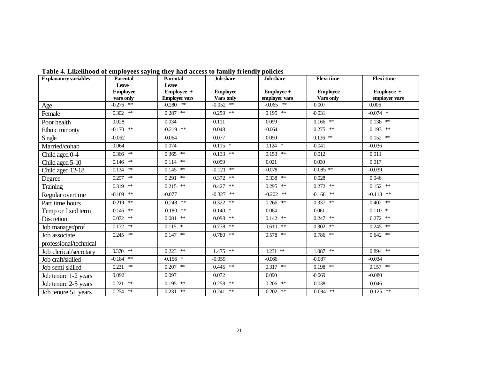| <b>Explanatory variables</b> | <b>Parental</b> | <b>Parental</b>      | <b>Job</b> share | <b>Job</b> share | <b>Flexi</b> time | <b>Flexi</b> time |
|------------------------------|-----------------|----------------------|------------------|------------------|-------------------|-------------------|
|                              | Leave           | Leave                |                  |                  |                   |                   |
|                              | <b>Employee</b> | Employee +           | <b>Employee</b>  | Employee +       | <b>Employee</b>   | <b>Employee</b> + |
|                              | vars only       | <b>Employer vars</b> | Vars only        | employer vars    | Vars only         | employer vars     |
| Age                          | $-0.276$ **     | $-0.280$ **          | $-0.052$ **      | $-0.065$ **      | 0.007             | 0.006             |
| Female                       | $0.302$ **      | $0.287$ **           | $0.259$ **       | $0.195$ **       | $-0.031$          | $-0.074$ *        |
| Poor health                  | 0.028           | 0.034                | 0.111            | 0.099            | $0.166$ **        | $0.138$ **        |
| Ethnic minority              | $-0.170$ **     | $-0.219$ **          | 0.048            | $-0.064$         | $0.275$ **        | $0.193$ **        |
| Single                       | $-0.062$        | $-0.064$             | 0.077            | 0.090            | $0.136$ **        | $0.152$ **        |
| Married/cohab                | 0.064           | 0.074                | $0.115$ *        | $0.124$ *        | $-0.041$          | $-0.036$          |
| Child aged 0-4               | $0.366$ **      | $0.365$ **           | $0.133$ **       | $0.153$ **       | 0.012             | 0.011             |
| Child aged 5-10              | $0.146$ **      | $0.114$ **           | 0.059            | 0.021            | 0.030             | 0.017             |
| Child aged 12-18             | $0.134$ **      | $0.145$ **           | $-0.121$ **      | $-0.078$         | $-0.085$ **       | $-0.039$          |
| Degree                       | $0.297$ **      | $0.291$ **           | $0.372$ **       | $0.338$ **       | 0.028             | 0.046             |
| <b>Training</b>              | $0.319$ **      | $0.215$ **           | $0.427$ **       | $0.295$ **       | $0.272$ **        | $0.152$ **        |
| Regular overtime             | $-0.109$ **     | $-0.077$             | $-0.327$ **      | $-0.202$ **      | $-0.166$ **       | $-0.113$ **       |
| Part time hours              | $-0.219$ **     | $-0.248$ **          | $0.322$ **       | $0.266$ **       | $0.337$ **        | $0.402$ **        |
| Temp or fixed term           | $-0.146$ **     | $-0.180$ **          | $0.140*$         | 0.064            | 0.061             | $0.110*$          |
| Discretion                   | $0.072$ **      | $0.081$ **           | $0.098$ **       | $0.142$ **       | $0.247$ **        | $0.272$ **        |
| Job manager/prof             | $0.172$ **      | $0.115$ *            | $0.778$ **       | $0.610$ **       | $0.302$ **        | $0.245$ **        |
| Job associate                | $0.245$ **      | $0.147$ **           | $0.780$ **       | $0.578$ **       | $0.786$ **        | $0.642$ **        |
| professional/technical       |                 |                      |                  |                  |                   |                   |
| Job clerical/secretary       | $0.370$ **      | $0.223$ **           | $1.475$ **       | $1.231$ **       | $1.087$ **        | $0.894$ **        |
| Job craft/skilled            | $-0.184$ **     | $-0.156$ *           | $-0.059$         | $-0.066$         | $-0.087$          | $-0.034$          |
| Job semi-skilled             | $0.231$ **      | $0.207$ **           | $0.445$ **       | $0.317$ **       | $0.198$ **        | $0.157$ **        |
| Job tenure 1-2 years         | 0.092           | 0.097                | 0.072            | 0.090            | $-0.069$          | $-0.080$          |
| Job tenure 2-5 years         | $0.221$ **      | $0.195$ **           | $0.258$ **       | $0.206$ **       | $-0.038$          | $-0.046$          |
| Job tenure $5+$ years        | $0.254$ **      | $0.231$ **           | $0.241$ **       | $0.202$ **       | $-0.094$ **       | $-0.125$ **       |

**Table 4. Likelihood of employees saying they had access to family-friendly policies**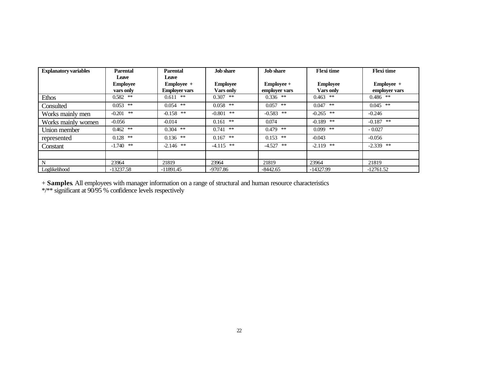| <b>Explanatory variables</b> | <b>Parental</b>          | <b>Parental</b>       | <b>Job</b> share | <b>Job share</b> | <b>Flexi</b> time | <b>Flexi</b> time |
|------------------------------|--------------------------|-----------------------|------------------|------------------|-------------------|-------------------|
|                              | Leave<br><b>Employee</b> | Leave<br>$Emplovee +$ | <b>Employee</b>  | Employee +       | <b>Employee</b>   | $Emplovee +$      |
|                              | vars only                | <b>Employer vars</b>  | <b>Vars only</b> | employer vars    | <b>Vars only</b>  | employer vars     |
| Ethos                        | $0.582$ **               | $0.611$ **            | $0.307$ **       | $0.336$ **       | $0.463$ **        | $0.486$ **        |
| Consulted                    | $0.053$ **               | $0.054$ **            | $0.058$ **       | $0.057$ **       | $0.047$ **        | $0.045$ **        |
| Works mainly men             | $-0.201$ **              | $-0.158$ **           | $-0.801$ **      | $-0.583$ **      | $-0.265$ **       | $-0.246$          |
| Works mainly women           | $-0.056$                 | $-0.014$              | $0.161$ **       | 0.074            | $-0.189$ **       | $-0.187$ **       |
| Union member                 | $0.462$ **               | $0.304$ **            | $0.741$ **       | $0.479$ **       | $0.099$ **        | $-0.027$          |
| represented                  | $0.128$ **               | $0.136$ **            | $0.167$ **       | $0.153$ **       | $-0.043$          | $-0.056$          |
| Constant                     | $-1.740$ **              | $-2.146$ **           | $-4.115$ **      | $-4.527$ **      | $-2.119$ **       | $-2.339$ **       |
|                              |                          |                       |                  |                  |                   |                   |
| N                            | 23964                    | 21819                 | 23964            | 21819            | 23964             | 21819             |
| Loglikelihood                | $-13237.58$              | $-11891.45$           | $-9707.86$       | $-8442.65$       | -14327.99         | $-12761.52$       |

+ **Samples**. All employees with manager information on a range of structural and human resource characteristics \*/\*\* significant at 90/95 % confidence levels respectively

22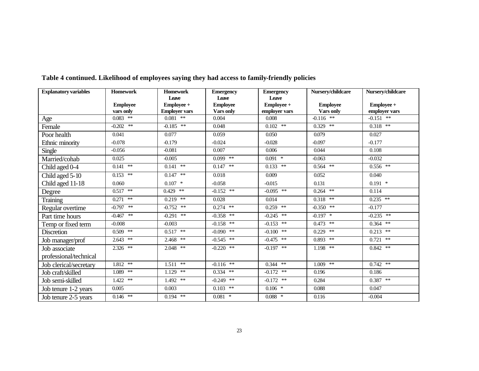| <b>Explanatory variables</b> | <b>Homework</b>              | <b>Homework</b>                    | <b>Emergency</b>             | <b>Emergency</b>            | Nursery/childcare            | Nursery/childcare           |
|------------------------------|------------------------------|------------------------------------|------------------------------|-----------------------------|------------------------------|-----------------------------|
|                              |                              | Leave                              | Leave                        | Leave                       |                              |                             |
|                              | <b>Employee</b><br>vars only | Employee +<br><b>Employer vars</b> | <b>Employee</b><br>Vars only | Employee +<br>employer vars | <b>Employee</b><br>Vars only | Employee +<br>employer vars |
| Age                          | $0.083$ **                   | $0.081$ **                         | 0.004                        | 0.008                       | $-0.116$ **                  | $-0.15\overline{1}$ **      |
| Female                       | $-0.202$ **                  | $-0.185$ **                        | 0.048                        | $0.102$ **                  | $0.329$ **                   | $0.318$ **                  |
| Poor health                  | 0.041                        | 0.077                              | 0.059                        | 0.050                       | 0.079                        | 0.027                       |
| Ethnic minority              | $-0.078$                     | $-0.179$                           | $-0.024$                     | $-0.028$                    | $-0.097$                     | $-0.177$                    |
| Single                       | $-0.056$                     | $-0.081$                           | 0.007                        | 0.006                       | 0.044                        | 0.108                       |
| Married/cohab                | 0.025                        | $-0.005$                           | $0.099$ **                   | $0.091$ *                   | $-0.063$                     | $-0.032$                    |
| Child aged 0-4               | $0.141$ **                   | $0.141$ **                         | $0.147$ **                   | $0.133$ **                  | $0.564$ **                   | $0.556$ **                  |
| Child aged 5-10              | $0.153$ **                   | $0.147$ **                         | 0.018                        | 0.009                       | 0.052                        | 0.040                       |
| Child aged 11-18             | 0.060                        | $0.107$ *                          | $-0.058$                     | $-0.015$                    | 0.131                        | $0.191$ *                   |
| Degree                       | $0.517$ **                   | $0.429$ **                         | $-0.152$ **                  | $-0.095$ **                 | $0.264$ **                   | 0.114                       |
| <b>Training</b>              | $0.271$ **                   | $0.219$ **                         | 0.028                        | 0.014                       | $0.318$ **                   | $0.235$ **                  |
| Regular overtime             | $-0.797$ **                  | $-0.752$ **                        | $0.274$ **                   | $0.259$ **                  | $-0.350$ **                  | $-0.177$                    |
| Part time hours              | $-0.467$ **                  | $-0.291$ **                        | $-0.358$ **                  | $-0.245$ **                 | $-0.197$ *                   | $-0.235$ **                 |
| Temp or fixed term           | $-0.008$                     | $-0.003$                           | $-0.158$ **                  | $-0.153$ **                 | $0.473$ **                   | $0.364$ **                  |
| Discretion                   | $0.509$ **                   | $0.517$ **                         | $-0.090$ **                  | $-0.100$ **                 | $0.229$ **                   | $0.213$ **                  |
| Job manager/prof             | $2.643$ **                   | $2.468$ **                         | $-0.545$ **                  | $-0.475$ **                 | $0.893$ **                   | $0.721$ **                  |
| Job associate                | $2.326$ **                   | $2.048$ **                         | $-0.220$ **                  | $-0.197$ **                 | $1.198$ **                   | $0.842$ **                  |
| professional/technical       |                              |                                    |                              |                             |                              |                             |
| Job clerical/secretary       | $1.812$ **                   | $1.511$ **                         | $-0.116$ **                  | $0.344$ **                  | $1.009$ **                   | $0.742$ **                  |
| Job craft/skilled            | $1.089$ **                   | $1.129$ **                         | $0.334$ **                   | $-0.172$ **                 | 0.196                        | 0.186                       |
| Job semi-skilled             | $1.422$ **                   | $1.492$ **                         | $-0.249$ **                  | $-0.172$ **                 | 0.284                        | $0.387$ **                  |
| Job tenure 1-2 years         | 0.005                        | 0.003                              | $0.103$ **                   | $0.106$ *                   | 0.088                        | 0.047                       |
| Job tenure 2-5 years         | $0.146$ **                   | $0.194$ **                         | $0.081$ *                    | $0.088$ *                   | 0.116                        | $-0.004$                    |

## **Table 4 continued. Likelihood of employees saying they had access to family-friendly policies**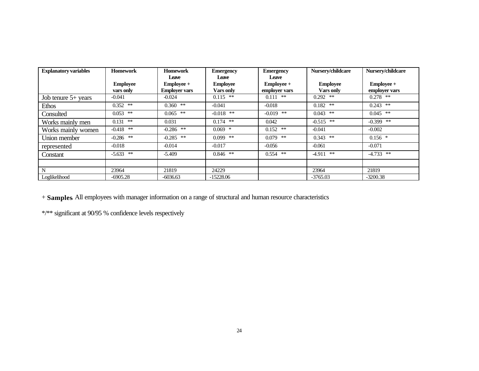| <b>Explanatory variables</b> | <b>Homework</b>              | <b>Homework</b>                              | <b>Emergency</b>                             | <b>Emergency</b>                     | Nursery/childcare            | Nursery/childcare            |
|------------------------------|------------------------------|----------------------------------------------|----------------------------------------------|--------------------------------------|------------------------------|------------------------------|
|                              | <b>Employee</b><br>vars only | Leave<br>$Emplove +$<br><b>Employer vars</b> | Leave<br><b>Employee</b><br><b>Vars only</b> | Leave<br>Employee +<br>employer vars | <b>Employee</b><br>Vars only | $Emplove +$<br>employer vars |
| Job tenure $5+$ years        | $-0.041$                     | $-0.024$                                     | $0.115$ **                                   | $0.111$ **                           | $0.292$ **                   | $0.278$ **                   |
| Ethos                        | $0.352$ **                   | $0.360$ **                                   | $-0.041$                                     | $-0.018$                             | $0.182$ **                   | $0.243$ **                   |
| Consulted                    | $0.053$ **                   | $0.065$ **                                   | $-0.018$ **                                  | $-0.019$ **                          | $0.043$ **                   | $0.045$ **                   |
| Works mainly men             | $0.131$ **                   | 0.031                                        | $0.174$ **                                   | 0.042                                | $-0.515$ **                  | $-0.399$ **                  |
| Works mainly women           | $-0.418$ **                  | $-0.286$ **                                  | $0.069$ *                                    | $0.152$ **                           | $-0.041$                     | $-0.002$                     |
| Union member                 | $-0.286$ **                  | $-0.285$ **                                  | $0.099$ **                                   | $0.079$ **                           | $0.343$ **                   | $0.156$ *                    |
| represented                  | $-0.018$                     | $-0.014$                                     | $-0.017$                                     | $-0.056$                             | $-0.061$                     | $-0.071$                     |
| Constant                     | $-5.633$ **                  | $-5.409$                                     | $0.846$ **                                   | $0.554$ **                           | $-4.911$ **                  | $-4.733$ **                  |
|                              |                              |                                              |                                              |                                      |                              |                              |
| N                            | 23964                        | 21819                                        | 24229                                        |                                      | 23964                        | 21819                        |
| Loglikelihood                | $-6905.28$                   | $-6036.63$                                   | $-15228.06$                                  |                                      | $-3765.03$                   | $-3200.38$                   |

+ **Samples**. All employees with manager information on a range of structural and human resource characteristics

\*/\*\* significant at 90/95 % confidence levels respectively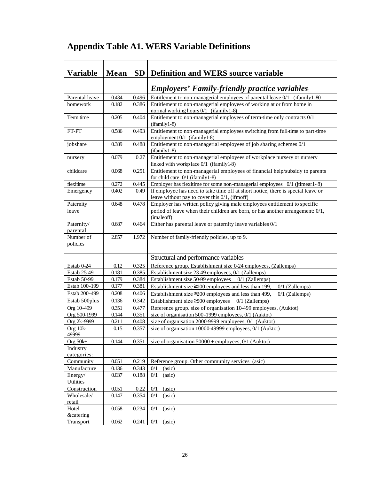## **Appendix Table A1. WERS Variable Definitions**

T

| <b>Variable</b>            | Mean           | <b>SD</b>      | <b>Definition and WERS source variable</b>                                                                                                                                |  |  |  |  |
|----------------------------|----------------|----------------|---------------------------------------------------------------------------------------------------------------------------------------------------------------------------|--|--|--|--|
|                            |                |                | <b>Employers' Family-friendly practice variables</b> :                                                                                                                    |  |  |  |  |
| Parental leave             | 0.434          | 0.496          | Entitlement to non-managerial employees of parental leave 0/1 (ifamily 1-80)                                                                                              |  |  |  |  |
| homework                   | 0.182          | 0.386          | Entitlement to non-managerial employees of working at or from home in<br>normal working hours 0/1 (ifamily 1-8)                                                           |  |  |  |  |
| Term time                  | 0.205          | 0.404          | Entitlement to non-managerial employees of term-time only contracts 0/1<br>$(ifamily1-8)$                                                                                 |  |  |  |  |
| FT-PT                      | 0.586          | 0.493          | Entitlement to non-managerial employees switching from full-time to part-time<br>employment 0/1 (ifamily 1-8)                                                             |  |  |  |  |
| jobshare                   | 0.389          | 0.488          | Entitlement to non-managerial employees of job sharing schemes 0/1<br>(ifamily1-8)                                                                                        |  |  |  |  |
| nursery                    | 0.079          | 0.27           | Entitlement to non-managerial employees of workplace nursery or nursery<br>linked with workp lace 0/1 (ifamily 1-8)                                                       |  |  |  |  |
| childcare                  | 0.068          | 0.251          | Entitlement to non-managerial employees of financial help/subsidy to parents<br>for child care $0/1$ (if amily 1-8)                                                       |  |  |  |  |
| flexitime                  | 0.272          | 0.445          | Employer has flexitime for some non-managerial employees 0/1 (jtimear1-8)                                                                                                 |  |  |  |  |
| Emergency                  | 0.402          | 0.49           | If employee has need to take time off at short notice, there is special leave or<br>leave without pay to cover this $0/1$ , (if moff)                                     |  |  |  |  |
| Paternity<br>leave         | 0.648          | 0.478          | Employer has written policy giving male employees entitlement to specific<br>period of leave when their children are born, or has another arrangement: 0/1,<br>(imaleoff) |  |  |  |  |
| Paternity/<br>parental     | 0.687          | 0.464          | Either has parental leave or paternity leave variables 0/1                                                                                                                |  |  |  |  |
| Number of<br>policies      | 2.857          | 1.972          | Number of family-friendly policies, up to 9.                                                                                                                              |  |  |  |  |
|                            |                |                |                                                                                                                                                                           |  |  |  |  |
|                            |                |                | Structural and performance variables                                                                                                                                      |  |  |  |  |
| Estab 0-24                 | 0.12           | 0.325          | Reference group. Establishment size 0-24 employees, (Zallemps)                                                                                                            |  |  |  |  |
| Estab 25-49                | 0.181          | 0.385          | Establishment size 23-49 employees, 0/1 (Zallemps)                                                                                                                        |  |  |  |  |
| Estab 50-99                | 0.179          | 0.384          | Establishment size 50-99 employees 0/1 (Zallemps)                                                                                                                         |  |  |  |  |
| Estab 100-199              | 0.177          | 0.381          | Establishment size≥100 employees and less than 199,<br>$0/1$ (Zallemps)                                                                                                   |  |  |  |  |
| Estab 200-499              | 0.208          | 0.406          | Establishment size≥200 employees and less than 499,<br>$0/1$ (Zallemps)                                                                                                   |  |  |  |  |
| Estab 500plus              | 0.136          | 0.342          | Establishment size $\geq$ 500 employees 0/1 (Zallemps)                                                                                                                    |  |  |  |  |
| Org 10-499<br>Org 500-1999 | 0.351          | 0.477          | Reference group. size of organisation 10-499 employees, (Auktot)                                                                                                          |  |  |  |  |
| Org 2k-9999                | 0.144<br>0.211 | 0.351<br>0.408 | size of organisation 500-1999 employees, 0/1 (Auktot)<br>size of organisation 2000-9999 employees, 0/1 (Auktot)                                                           |  |  |  |  |
| Org 10k-<br>49999          | 0.15           | 0.357          | size of organisation 10000-49999 employees, 0/1 (Auktot)                                                                                                                  |  |  |  |  |
| Org $50k+$                 | 0.144          | 0.351          | size of organisation $50000 +$ employees, $0/1$ (Auktot)                                                                                                                  |  |  |  |  |
| Industry<br>categories:    |                |                |                                                                                                                                                                           |  |  |  |  |
| Community                  | 0.051          | 0.219          | Reference group. Other community services (asic)                                                                                                                          |  |  |  |  |
| Manufacture                | 0.136          | 0.343          | 0/1<br>(asic)                                                                                                                                                             |  |  |  |  |
| Energy/                    | 0.037          | 0.188          | 0/1<br>(asic)                                                                                                                                                             |  |  |  |  |
| Utilities                  |                |                |                                                                                                                                                                           |  |  |  |  |
| Construction               | 0.051          | 0.22           | 0/1<br>(asic)                                                                                                                                                             |  |  |  |  |
| Wholesale/<br>retail       | 0.147          | 0.354          | 0/1<br>(a <sub>sic</sub> )                                                                                                                                                |  |  |  |  |
| Hotel                      | 0.058          | 0.234          | (a <sub>sic</sub> )<br>0/1                                                                                                                                                |  |  |  |  |
| <b>&amp;catering</b>       |                |                |                                                                                                                                                                           |  |  |  |  |
| Transport                  | 0.062          | 0.241          | 0/1<br>(asic)                                                                                                                                                             |  |  |  |  |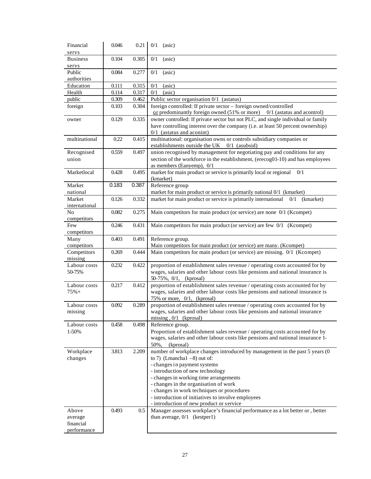| Financial                | 0.046          | 0.21           | $0/1$ (asic)                                                                                                   |
|--------------------------|----------------|----------------|----------------------------------------------------------------------------------------------------------------|
| servs                    |                |                |                                                                                                                |
| <b>Business</b>          | 0.104          | 0.305          | 0/1<br>(asic)                                                                                                  |
| servs                    |                |                |                                                                                                                |
| Public                   | 0.084          | 0.277          | 0/1<br>(asic)                                                                                                  |
| authorities<br>Education |                |                |                                                                                                                |
| Health                   | 0.111<br>0.114 | 0.315<br>0.317 | 0/1<br>(asic)<br>0/1<br>(a <sub>sic</sub> )                                                                    |
| public                   | 0.309          | 0.462          | Public sector organisation 0/1 (astatus)                                                                       |
| foreign                  | 0.103          | 0.304          | foreign controlled: If private sector - foreign owned/controlled                                               |
|                          |                |                | or predominantly foreign owned $(51\% \text{ or more})$ 0/1 (astatus and acontrol)                             |
| owner                    | 0.129          | 0.335          | owner controlled: If private sector but not PLC, and single individual or family                               |
|                          |                |                | have controlling interest over the company (i.e. at least 50 percent ownership)                                |
|                          |                |                | $0/1$ (astatus and aconint)                                                                                    |
| multinational            | 0.22           | 0.415          | multinational: organisation owns or controls subsidiary companies or                                           |
|                          |                |                | establishments outside the UK 0/1 (asubsid)                                                                    |
| Recognised               | 0.559          | 0.497          | union recognised by management for negotiating pay and conditions for any                                      |
| union                    |                |                | section of the workforce in the establishment, (erecog01-10) and has employees                                 |
|                          |                |                | as members (Eanyemp), 0/1                                                                                      |
| Marketlocal              | 0.428          | 0.495          | market for main product or service is primarily local or regional<br>0/1                                       |
|                          |                |                | (kmarket)                                                                                                      |
| Market                   | 0.183          | 0.387          | Reference group                                                                                                |
| national                 |                |                | market for main product or service is primarily national 0/1 (kmarket)                                         |
| Market<br>international  | 0.126          | 0.332          | market for main product or service is primarily international<br>0/1<br>(kmarket)                              |
| N <sub>o</sub>           | 0.082          | 0.275          | Main competitors for main product (or service) are none 0/1 (Kcompet)                                          |
| competitors              |                |                |                                                                                                                |
| Few                      | 0.246          | 0.431          | Main competitors for main product (or service) are few 0/1 (Kcompet)                                           |
| competitors              |                |                |                                                                                                                |
| Many                     | 0.403          | 0.491          | Reference group.                                                                                               |
| competitors              |                |                | Main competitors for main product (or service) are many. (Kcompet)                                             |
| Competitors              | 0.269          | 0.444          | Main competitors for main product (or service) are missing. 0/1 (Kcompet)                                      |
| missing                  |                |                |                                                                                                                |
| Labour costs             | 0.232          | 0.422          | proportion of establishment sales revenue / operating costs accounted for by                                   |
| 50-75%                   |                |                | wages, salaries and other labour costs like pensions and national insurance is                                 |
|                          |                |                | $50-75\%, 0/1,$ (kprosal)                                                                                      |
| Labour costs             | 0.217          | 0.412          | proportion of establishment sales revenue / operating costs accounted for by                                   |
| $75% +$                  |                |                | wages, salaries and other labour costs like pensions and national insurance is                                 |
| Labour costs             | 0.092          | 0.289          | 75% or more, $0/1$ , (kprosal)<br>proportion of establishment sales revenue / operating costs accounted for by |
| missing                  |                |                | wages, salaries and other labour costs like pensions and national insurance                                    |
|                          |                |                | missing, $0/1$ (kprosal)                                                                                       |
| Labour costs             | 0.458          | 0.498          | Reference group.                                                                                               |
| 1-50%                    |                |                | Proportion of establishment sales revenue / operating costs accounted for by                                   |
|                          |                |                | wages, salaries and other labour costs like pensions and national insurance 1-                                 |
|                          |                |                | 50%,<br>(kprosal)                                                                                              |
| Workplace                | 3.813          | 2.209          | number of workplace changes introduced by management in the past 5 years (0                                    |
| changes                  |                |                | to 7) (Lmancha1 $-8$ ) out of:                                                                                 |
|                          |                |                | - changes in payment systems                                                                                   |
|                          |                |                | - introduction of new technology                                                                               |
|                          |                |                | - changes in working time arrangements                                                                         |
|                          |                |                | - changes in the organisation of work<br>- changes in work techniques or procedures                            |
|                          |                |                | - introduction of initiatives to involve employees                                                             |
|                          |                |                | - introduction of new product or service                                                                       |
| Above                    | 0.493          | 0.5            | Manager assesses workplace's financial performance as a lot better or, better                                  |
| average                  |                |                | than average, $0/1$ (kestper1)                                                                                 |
| financial                |                |                |                                                                                                                |
| performance              |                |                |                                                                                                                |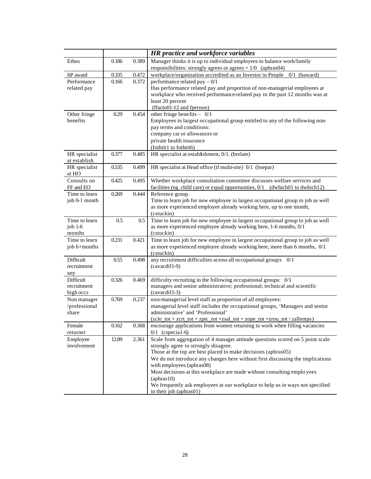|                                       |       |       | <b>HR</b> practice and workforce variables                                                                                                                                                                                                                                                                                                                                                                                                                                                                           |
|---------------------------------------|-------|-------|----------------------------------------------------------------------------------------------------------------------------------------------------------------------------------------------------------------------------------------------------------------------------------------------------------------------------------------------------------------------------------------------------------------------------------------------------------------------------------------------------------------------|
| Ethos                                 | 0.186 | 0.389 | Manager thinks it is up to individual employees to balance work/family                                                                                                                                                                                                                                                                                                                                                                                                                                               |
|                                       |       |       | responsibilities: strongly agrees or agrees $= 1/0$ (aphras04)                                                                                                                                                                                                                                                                                                                                                                                                                                                       |
| IiP award                             | 0.335 | 0.472 | workplace/organisation accredited as an Investor in People 0/1 (baward)                                                                                                                                                                                                                                                                                                                                                                                                                                              |
| Performance<br>related pay            | 0.166 | 0.372 | performance related pay $-0/1$<br>Has performance related pay and proportion of non-managerial employees at<br>workplace who received performance-related pay in the past 12 months was at<br>least 20 percent<br>(ffacto01-12 and fpernon)                                                                                                                                                                                                                                                                          |
| Other fringe<br>benefits              | 0.29  | 0.454 | other fringe benefits $-0/1$<br>Employees in largest occupational group entitled to any of the following non-<br>pay terms and conditions:<br>company car or allowances or<br>private health insurance<br>(fothtit1 to fothtit6)                                                                                                                                                                                                                                                                                     |
| HR specialist<br>at establish         | 0.377 | 0.485 | HR specialist at establishment, 0/1. (brelate)                                                                                                                                                                                                                                                                                                                                                                                                                                                                       |
| HR specialist<br>at HO                | 0.535 | 0.499 | HR specialist at Head office (if multi-site) 0/1 (bsepar)                                                                                                                                                                                                                                                                                                                                                                                                                                                            |
| Consults on<br>FF and EO              | 0.425 | 0.495 | Whether workplace consultation committee discusses welfare services and<br>facilities (eg. child care) or equal opportunities, 0/1 (dwhich01 to dwhich12)                                                                                                                                                                                                                                                                                                                                                            |
| Time to learn<br>job 0-1 month        | 0.269 | 0.444 | Reference group.<br>Time to learn job for new employee in largest occupational group to job as well<br>as more experienced employee already working here, up to one month,<br>(cstuckin)                                                                                                                                                                                                                                                                                                                             |
| Time to learn<br>job 1-6<br>months    | 0.5   | 0.5   | Time to learn job for new employee in largest occupational group to job as well<br>as more experienced employee already working here, 1-6 months, 0/1<br>(cstuckin)                                                                                                                                                                                                                                                                                                                                                  |
| Time to learn<br>job 6+months         | 0.231 | 0.421 | Time to learn job for new employee in largest occupational group to job as well<br>as more experienced employee already working here, more than 6 months, 0/1<br>(cstuckin)                                                                                                                                                                                                                                                                                                                                          |
| Difficult<br>recruitment<br>any       | 0.55  | 0.498 | any recruitment difficulties across all occupational groups 0/1<br>(cavacdif1-9)                                                                                                                                                                                                                                                                                                                                                                                                                                     |
| Difficult<br>recruitment<br>high occs | 0.326 | 0.469 | difficulty recruiting in the following occupational groups: 0/1<br>managers and senior administrative; professional; technical and scientific<br>(cavacdif1-3)                                                                                                                                                                                                                                                                                                                                                       |
| Non manager<br>/professional<br>share | 0.769 | 0.237 | non-managerial level staff as proportion of all employees:<br>managerial level staff includes the occupational groups, 'Managers and senior<br>administrative' and 'Professional'<br>$(zcle\_tot + zcrt\_tot + zptc\_tot + zsal\_tot + zope\_tot + zrou\_tot / zallemps)$                                                                                                                                                                                                                                            |
| Female<br>returner                    | 0.162 | 0.368 | encourage applications from women returning to work when filling vacancies<br>$0/1$ (cspecial-6)                                                                                                                                                                                                                                                                                                                                                                                                                     |
| Employee<br>involvement               | 12.89 | 2.361 | Scale from aggregation of 4 manager attitude questions scored on 5 point scale<br>strongly agree to strongly disagree.<br>Those at the top are best placed to make decisions (aphras05)<br>We do not introduce any changes here without first discussing the implications<br>with employees (aphras08)<br>Most decisions at this workplace are made without consulting emplo yees<br>$(\text{aphras}10)$<br>We frequently ask employees at our workplace to help us in ways not specified<br>in their job (aphras01) |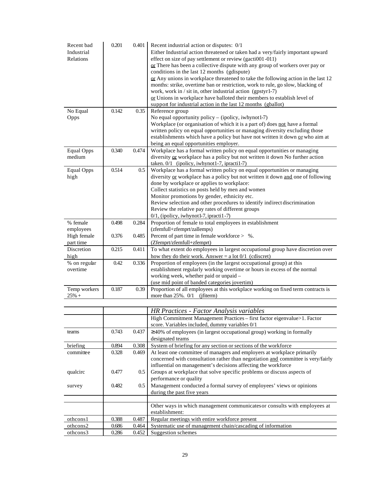| Recent bad<br>Industrial<br>Relations | 0.201 | 0.401   | Recent industrial action or disputes: 0/1<br>Either Industrial action threatened or taken had a very/fairly important upward<br>effect on size of pay settlement or review (gacti001-011)<br>or There has been a collective dispute with any group of workers over pay or<br>conditions in the last 12 months (gdispute)<br>or Any unions in workplace threatened to take the following action in the last 12<br>months: strike, overtime ban or restriction, work to rule, go slow, blacking of<br>work, work in / sit in, other industrial action (gpstyr1-7)<br>or Unions in workplace have balloted their members to establish level of<br>support for industrial action in the last 12 months (gballot) |
|---------------------------------------|-------|---------|--------------------------------------------------------------------------------------------------------------------------------------------------------------------------------------------------------------------------------------------------------------------------------------------------------------------------------------------------------------------------------------------------------------------------------------------------------------------------------------------------------------------------------------------------------------------------------------------------------------------------------------------------------------------------------------------------------------|
| No Equal<br>Opps                      | 0.142 | 0.35    | Reference group<br>No equal opportunity policy - (ipolicy, iwhynot1-7)<br>Workplace (or organisation of which it is a part of) does not have a formal<br>written policy on equal opportunities or managing diversity excluding those<br>establishments which have a policy but have not written it down or who aim at<br>being an equal opportunities employer.                                                                                                                                                                                                                                                                                                                                              |
| <b>Equal Opps</b><br>medium           | 0.340 | 0.474   | Workplace has a formal written policy on equal opportunities or managing<br>diversity or workplace has a policy but not written it down No further action<br>taken. 0/1 (ipolicy, iwhynot1-7, ipracti1-7)                                                                                                                                                                                                                                                                                                                                                                                                                                                                                                    |
| <b>Equal Opps</b><br>high             | 0.514 | $0.5\,$ | Workplace has a formal written policy on equal opportunities or managing<br>diversity or workplace has a policy but not written it down and one of following<br>done by workplace or applies to workplace:<br>Collect statistics on posts held by men and women<br>Monitor promotions by gender, ethnicity etc.<br>Review selection and other procedures to identify indirect discrimination<br>Review the relative pay rates of different groups<br>0/1, (ipolicy, iwhynot1-7, ipracti1-7)                                                                                                                                                                                                                  |
| % female<br>employees                 | 0.498 | 0.284   | Proportion of female to total employees in establishment<br>(zfemfull+zfemprt/zallemps)                                                                                                                                                                                                                                                                                                                                                                                                                                                                                                                                                                                                                      |
| High female<br>part time              | 0.376 | 0.485   | Percent of part time in female workforce $>$ %.<br>(Zfemprt/zfemfull+zfemprt)                                                                                                                                                                                                                                                                                                                                                                                                                                                                                                                                                                                                                                |
| Discretion<br>high                    | 0.215 | 0.411   | To what extent do employees in largest occupational group have discretion over<br>how they do their work. Answer = $a$ lot $0/1$ (cdiscret)                                                                                                                                                                                                                                                                                                                                                                                                                                                                                                                                                                  |
| % on regular<br>overtime              | 0.42  | 0.336   | Proportion of employees (in the largest occupational group) at this<br>establishment regularly working overtime or hours in excess of the normal<br>working week, whether paid or unpaid -<br>(use mid point of banded categories jovertim)                                                                                                                                                                                                                                                                                                                                                                                                                                                                  |
| Temp workers<br>$25% +$               | 0.187 | 0.39    | Proportion of all employees at this workplace working on fixed term contracts is<br>more than 25%. 0/1<br>( <i>ifiterm</i> )                                                                                                                                                                                                                                                                                                                                                                                                                                                                                                                                                                                 |
|                                       |       |         |                                                                                                                                                                                                                                                                                                                                                                                                                                                                                                                                                                                                                                                                                                              |
|                                       |       |         | <b>HR Practices - Factor Analysis variables</b><br>High Commitment Management Practices - first factor eigenvalue>1. Factor<br>score. Variables included, dummy variables 0/1                                                                                                                                                                                                                                                                                                                                                                                                                                                                                                                                |
| teams                                 | 0.743 | 0.437   | $\geq$ 40% of employees (in largest occupational group) working in formally<br>designated teams                                                                                                                                                                                                                                                                                                                                                                                                                                                                                                                                                                                                              |
| briefing                              | 0.894 | 0.308   | System of briefing for any section or sections of the workforce                                                                                                                                                                                                                                                                                                                                                                                                                                                                                                                                                                                                                                              |
| committee                             | 0.328 | 0.469   | At least one committee of managers and employers at workplace primarily<br>concerned with consultation rather than negotiation and committee is very/fairly<br>influential on management's decisions affecting the workforce                                                                                                                                                                                                                                                                                                                                                                                                                                                                                 |
| qualcirc                              | 0.477 | 0.5     | Groups at workplace that solve specific problems or discuss aspects of<br>performance or quality                                                                                                                                                                                                                                                                                                                                                                                                                                                                                                                                                                                                             |
| survey                                | 0.482 | 0.5     | Management conducted a formal survey of employees' views or opinions<br>during the past five years                                                                                                                                                                                                                                                                                                                                                                                                                                                                                                                                                                                                           |
|                                       |       |         |                                                                                                                                                                                                                                                                                                                                                                                                                                                                                                                                                                                                                                                                                                              |
|                                       |       |         | Other ways in which management communicates or consults with employees at<br>establishment:                                                                                                                                                                                                                                                                                                                                                                                                                                                                                                                                                                                                                  |
| othcons1                              | 0.388 | 0.487   | Regular meetings with entire workforce present                                                                                                                                                                                                                                                                                                                                                                                                                                                                                                                                                                                                                                                               |
| othcons2                              | 0.686 | 0.464   | Systematic use of management chain/cascading of information                                                                                                                                                                                                                                                                                                                                                                                                                                                                                                                                                                                                                                                  |
| othcons3                              | 0.286 | 0.452   | Suggestion schemes                                                                                                                                                                                                                                                                                                                                                                                                                                                                                                                                                                                                                                                                                           |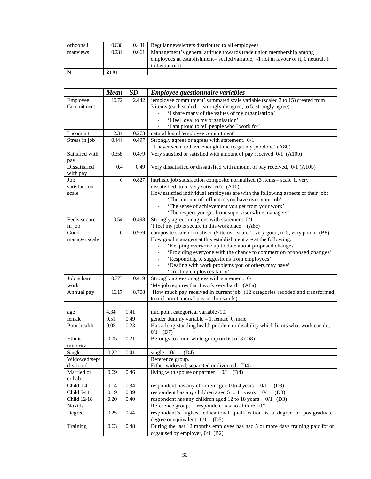| othcons4 | 0.636 | 0.481 | Regular newsletters distributed to all employees                                   |
|----------|-------|-------|------------------------------------------------------------------------------------|
| manyiews | 0.234 | 0.661 | Management's general attitude towards trade union membership among                 |
|          |       |       | employees at establishment – scaled variable, -1 not in favour of it, 0 neutral, 1 |
|          |       |       | in favour of it                                                                    |
|          | 2191  |       |                                                                                    |

| 'employee commitment' summated scale variable (scaled 3 to 15) created from<br>10.72<br>2.442<br>Employee<br>Commitment<br>3 items (each scaled 1, strongly disagree, to 5, strongly agree):<br>'I share many of the values of my organisation'<br>'I feel loyal to my organisation'<br>'I am proud to tell people who I work for'<br>natural log of 'employee commitment'<br>Lncommit<br>2.34<br>0.273<br>Strongly agrees or agrees with statement. 0/1<br>Stress in job<br>0.444<br>0.497<br>'I never seem to have enough time to get my job done' (A8b)<br>Very satisfied or satisfied with amount of pay received 0/1 (A10b)<br>Satisfied with<br>0.358<br>0.479<br>pay<br>Dissatisfied<br>Very dissatisfied or dissatisfied with amount of pay received, 0/1 (A10b)<br>0.4<br>0.49<br>with pay<br>intrinsic job satisfaction composite normalised (3 items- scale 1, very<br>Job<br>$\mathbf{0}$<br>0.827<br>dissatisfied, to 5, very satisfied): (A10)<br>satisfaction<br>How satisfied individual employees are with the following aspects of their job:<br>scale<br>'The amount of influence you have over your job'<br>'The sense of achievement you get from your work'<br>'The respect you get from supervisors/line managers'<br>Strongly agrees or agrees with statement 0/1<br>Feels secure<br>0.54<br>0.498<br>'I feel my job is secure in this workplace' (A8c)<br>in job<br>0.959<br>composite scale normalised (5 items – scale 1, very good, to 5, very poor): (B8)<br>Good<br>$\mathbf{0}$<br>How good managers at this establishment are at the following:<br>manager scale<br>'Keeping everyone up to date about proposed changes'<br>'Providing everyone with the chance to comment on proposed changes'<br>'Responding to suggestions from employees'<br>'Dealing with work problems you or others may have'<br>'Treating employees fairly'<br>Strongly agrees or agrees with statement. 0/1<br>Job is hard<br>0.773<br>0.419<br>'My job requires that I work very hard' (A8a)<br>work<br>How much pay received in current job (12 categories recoded and transformed<br>16.17<br>8.708<br>Annual pay<br>to mid-point annual pay in thousands)<br>4.34<br>1.41<br>mid point categorical variable /10.<br>age<br>0.49<br>gender dummy variable $-1$ , female 0, male<br>female<br>0.51<br>Has a long-standing health problem or disability which limits what work can do,<br>Poor health<br>0.05<br>0.23<br>$0/1$ (D7)<br>Belongs to a non-white group on list of 8 (D8)<br>0.21<br>0.05<br>Ethnic<br>minority<br>0.22<br>0.41<br>Single<br>single $0/1$<br>(D4)<br>Widowed/sep/<br>Reference group.<br>Either widowed, separated or divorced. (D4)<br>divorced<br>0.46<br>living with spouse or partner<br>Married or<br>0.69<br>$0/1$ (D4)<br>cohab<br>0.34<br>Child 0-4<br>0.14<br>respondent has any children aged 0 to 4 years<br>(D3)<br>0/1<br>0.19<br>0.39<br>respondent has any children aged 5 to 11 years<br>(D3)<br>Child 5-11<br>0/1<br>respondent has any children aged 12 to 18 years<br>Child 12-18<br>0.20<br>0.40<br>$0/1$ (D3)<br>Reference group. respondent has no children 0/1<br>Nokids<br>0.44<br>respondent's highest educational qualification is a degree or postgraduate<br>0.25<br>Degree<br>degree or equivalent $0/1$ (D5) |          | <b>Mean</b> | SD       | <b>Employee questionnaire variables</b>                                        |
|----------------------------------------------------------------------------------------------------------------------------------------------------------------------------------------------------------------------------------------------------------------------------------------------------------------------------------------------------------------------------------------------------------------------------------------------------------------------------------------------------------------------------------------------------------------------------------------------------------------------------------------------------------------------------------------------------------------------------------------------------------------------------------------------------------------------------------------------------------------------------------------------------------------------------------------------------------------------------------------------------------------------------------------------------------------------------------------------------------------------------------------------------------------------------------------------------------------------------------------------------------------------------------------------------------------------------------------------------------------------------------------------------------------------------------------------------------------------------------------------------------------------------------------------------------------------------------------------------------------------------------------------------------------------------------------------------------------------------------------------------------------------------------------------------------------------------------------------------------------------------------------------------------------------------------------------------------------------------------------------------------------------------------------------------------------------------------------------------------------------------------------------------------------------------------------------------------------------------------------------------------------------------------------------------------------------------------------------------------------------------------------------------------------------------------------------------------------------------------------------------------------------------------------------------------------------------------------------------------------------------------------------------------------------------------------------------------------------------------------------------------------------------------------------------------------------------------------------------------------------------------------------------------------------------------------------------------------------------------------------------------------------------------------------------------------------------------------------------------------------------------------------------------------------------------------------------------------------------------------------------------------------------------|----------|-------------|----------|--------------------------------------------------------------------------------|
|                                                                                                                                                                                                                                                                                                                                                                                                                                                                                                                                                                                                                                                                                                                                                                                                                                                                                                                                                                                                                                                                                                                                                                                                                                                                                                                                                                                                                                                                                                                                                                                                                                                                                                                                                                                                                                                                                                                                                                                                                                                                                                                                                                                                                                                                                                                                                                                                                                                                                                                                                                                                                                                                                                                                                                                                                                                                                                                                                                                                                                                                                                                                                                                                                                                                                  |          |             |          |                                                                                |
|                                                                                                                                                                                                                                                                                                                                                                                                                                                                                                                                                                                                                                                                                                                                                                                                                                                                                                                                                                                                                                                                                                                                                                                                                                                                                                                                                                                                                                                                                                                                                                                                                                                                                                                                                                                                                                                                                                                                                                                                                                                                                                                                                                                                                                                                                                                                                                                                                                                                                                                                                                                                                                                                                                                                                                                                                                                                                                                                                                                                                                                                                                                                                                                                                                                                                  |          |             |          |                                                                                |
|                                                                                                                                                                                                                                                                                                                                                                                                                                                                                                                                                                                                                                                                                                                                                                                                                                                                                                                                                                                                                                                                                                                                                                                                                                                                                                                                                                                                                                                                                                                                                                                                                                                                                                                                                                                                                                                                                                                                                                                                                                                                                                                                                                                                                                                                                                                                                                                                                                                                                                                                                                                                                                                                                                                                                                                                                                                                                                                                                                                                                                                                                                                                                                                                                                                                                  |          |             |          |                                                                                |
|                                                                                                                                                                                                                                                                                                                                                                                                                                                                                                                                                                                                                                                                                                                                                                                                                                                                                                                                                                                                                                                                                                                                                                                                                                                                                                                                                                                                                                                                                                                                                                                                                                                                                                                                                                                                                                                                                                                                                                                                                                                                                                                                                                                                                                                                                                                                                                                                                                                                                                                                                                                                                                                                                                                                                                                                                                                                                                                                                                                                                                                                                                                                                                                                                                                                                  |          |             |          |                                                                                |
|                                                                                                                                                                                                                                                                                                                                                                                                                                                                                                                                                                                                                                                                                                                                                                                                                                                                                                                                                                                                                                                                                                                                                                                                                                                                                                                                                                                                                                                                                                                                                                                                                                                                                                                                                                                                                                                                                                                                                                                                                                                                                                                                                                                                                                                                                                                                                                                                                                                                                                                                                                                                                                                                                                                                                                                                                                                                                                                                                                                                                                                                                                                                                                                                                                                                                  |          |             |          |                                                                                |
|                                                                                                                                                                                                                                                                                                                                                                                                                                                                                                                                                                                                                                                                                                                                                                                                                                                                                                                                                                                                                                                                                                                                                                                                                                                                                                                                                                                                                                                                                                                                                                                                                                                                                                                                                                                                                                                                                                                                                                                                                                                                                                                                                                                                                                                                                                                                                                                                                                                                                                                                                                                                                                                                                                                                                                                                                                                                                                                                                                                                                                                                                                                                                                                                                                                                                  |          |             |          |                                                                                |
|                                                                                                                                                                                                                                                                                                                                                                                                                                                                                                                                                                                                                                                                                                                                                                                                                                                                                                                                                                                                                                                                                                                                                                                                                                                                                                                                                                                                                                                                                                                                                                                                                                                                                                                                                                                                                                                                                                                                                                                                                                                                                                                                                                                                                                                                                                                                                                                                                                                                                                                                                                                                                                                                                                                                                                                                                                                                                                                                                                                                                                                                                                                                                                                                                                                                                  |          |             |          |                                                                                |
|                                                                                                                                                                                                                                                                                                                                                                                                                                                                                                                                                                                                                                                                                                                                                                                                                                                                                                                                                                                                                                                                                                                                                                                                                                                                                                                                                                                                                                                                                                                                                                                                                                                                                                                                                                                                                                                                                                                                                                                                                                                                                                                                                                                                                                                                                                                                                                                                                                                                                                                                                                                                                                                                                                                                                                                                                                                                                                                                                                                                                                                                                                                                                                                                                                                                                  |          |             |          |                                                                                |
|                                                                                                                                                                                                                                                                                                                                                                                                                                                                                                                                                                                                                                                                                                                                                                                                                                                                                                                                                                                                                                                                                                                                                                                                                                                                                                                                                                                                                                                                                                                                                                                                                                                                                                                                                                                                                                                                                                                                                                                                                                                                                                                                                                                                                                                                                                                                                                                                                                                                                                                                                                                                                                                                                                                                                                                                                                                                                                                                                                                                                                                                                                                                                                                                                                                                                  |          |             |          |                                                                                |
|                                                                                                                                                                                                                                                                                                                                                                                                                                                                                                                                                                                                                                                                                                                                                                                                                                                                                                                                                                                                                                                                                                                                                                                                                                                                                                                                                                                                                                                                                                                                                                                                                                                                                                                                                                                                                                                                                                                                                                                                                                                                                                                                                                                                                                                                                                                                                                                                                                                                                                                                                                                                                                                                                                                                                                                                                                                                                                                                                                                                                                                                                                                                                                                                                                                                                  |          |             |          |                                                                                |
|                                                                                                                                                                                                                                                                                                                                                                                                                                                                                                                                                                                                                                                                                                                                                                                                                                                                                                                                                                                                                                                                                                                                                                                                                                                                                                                                                                                                                                                                                                                                                                                                                                                                                                                                                                                                                                                                                                                                                                                                                                                                                                                                                                                                                                                                                                                                                                                                                                                                                                                                                                                                                                                                                                                                                                                                                                                                                                                                                                                                                                                                                                                                                                                                                                                                                  |          |             |          |                                                                                |
|                                                                                                                                                                                                                                                                                                                                                                                                                                                                                                                                                                                                                                                                                                                                                                                                                                                                                                                                                                                                                                                                                                                                                                                                                                                                                                                                                                                                                                                                                                                                                                                                                                                                                                                                                                                                                                                                                                                                                                                                                                                                                                                                                                                                                                                                                                                                                                                                                                                                                                                                                                                                                                                                                                                                                                                                                                                                                                                                                                                                                                                                                                                                                                                                                                                                                  |          |             |          |                                                                                |
|                                                                                                                                                                                                                                                                                                                                                                                                                                                                                                                                                                                                                                                                                                                                                                                                                                                                                                                                                                                                                                                                                                                                                                                                                                                                                                                                                                                                                                                                                                                                                                                                                                                                                                                                                                                                                                                                                                                                                                                                                                                                                                                                                                                                                                                                                                                                                                                                                                                                                                                                                                                                                                                                                                                                                                                                                                                                                                                                                                                                                                                                                                                                                                                                                                                                                  |          |             |          |                                                                                |
|                                                                                                                                                                                                                                                                                                                                                                                                                                                                                                                                                                                                                                                                                                                                                                                                                                                                                                                                                                                                                                                                                                                                                                                                                                                                                                                                                                                                                                                                                                                                                                                                                                                                                                                                                                                                                                                                                                                                                                                                                                                                                                                                                                                                                                                                                                                                                                                                                                                                                                                                                                                                                                                                                                                                                                                                                                                                                                                                                                                                                                                                                                                                                                                                                                                                                  |          |             |          |                                                                                |
|                                                                                                                                                                                                                                                                                                                                                                                                                                                                                                                                                                                                                                                                                                                                                                                                                                                                                                                                                                                                                                                                                                                                                                                                                                                                                                                                                                                                                                                                                                                                                                                                                                                                                                                                                                                                                                                                                                                                                                                                                                                                                                                                                                                                                                                                                                                                                                                                                                                                                                                                                                                                                                                                                                                                                                                                                                                                                                                                                                                                                                                                                                                                                                                                                                                                                  |          |             |          |                                                                                |
|                                                                                                                                                                                                                                                                                                                                                                                                                                                                                                                                                                                                                                                                                                                                                                                                                                                                                                                                                                                                                                                                                                                                                                                                                                                                                                                                                                                                                                                                                                                                                                                                                                                                                                                                                                                                                                                                                                                                                                                                                                                                                                                                                                                                                                                                                                                                                                                                                                                                                                                                                                                                                                                                                                                                                                                                                                                                                                                                                                                                                                                                                                                                                                                                                                                                                  |          |             |          |                                                                                |
|                                                                                                                                                                                                                                                                                                                                                                                                                                                                                                                                                                                                                                                                                                                                                                                                                                                                                                                                                                                                                                                                                                                                                                                                                                                                                                                                                                                                                                                                                                                                                                                                                                                                                                                                                                                                                                                                                                                                                                                                                                                                                                                                                                                                                                                                                                                                                                                                                                                                                                                                                                                                                                                                                                                                                                                                                                                                                                                                                                                                                                                                                                                                                                                                                                                                                  |          |             |          |                                                                                |
|                                                                                                                                                                                                                                                                                                                                                                                                                                                                                                                                                                                                                                                                                                                                                                                                                                                                                                                                                                                                                                                                                                                                                                                                                                                                                                                                                                                                                                                                                                                                                                                                                                                                                                                                                                                                                                                                                                                                                                                                                                                                                                                                                                                                                                                                                                                                                                                                                                                                                                                                                                                                                                                                                                                                                                                                                                                                                                                                                                                                                                                                                                                                                                                                                                                                                  |          |             |          |                                                                                |
|                                                                                                                                                                                                                                                                                                                                                                                                                                                                                                                                                                                                                                                                                                                                                                                                                                                                                                                                                                                                                                                                                                                                                                                                                                                                                                                                                                                                                                                                                                                                                                                                                                                                                                                                                                                                                                                                                                                                                                                                                                                                                                                                                                                                                                                                                                                                                                                                                                                                                                                                                                                                                                                                                                                                                                                                                                                                                                                                                                                                                                                                                                                                                                                                                                                                                  |          |             |          |                                                                                |
|                                                                                                                                                                                                                                                                                                                                                                                                                                                                                                                                                                                                                                                                                                                                                                                                                                                                                                                                                                                                                                                                                                                                                                                                                                                                                                                                                                                                                                                                                                                                                                                                                                                                                                                                                                                                                                                                                                                                                                                                                                                                                                                                                                                                                                                                                                                                                                                                                                                                                                                                                                                                                                                                                                                                                                                                                                                                                                                                                                                                                                                                                                                                                                                                                                                                                  |          |             |          |                                                                                |
|                                                                                                                                                                                                                                                                                                                                                                                                                                                                                                                                                                                                                                                                                                                                                                                                                                                                                                                                                                                                                                                                                                                                                                                                                                                                                                                                                                                                                                                                                                                                                                                                                                                                                                                                                                                                                                                                                                                                                                                                                                                                                                                                                                                                                                                                                                                                                                                                                                                                                                                                                                                                                                                                                                                                                                                                                                                                                                                                                                                                                                                                                                                                                                                                                                                                                  |          |             |          |                                                                                |
|                                                                                                                                                                                                                                                                                                                                                                                                                                                                                                                                                                                                                                                                                                                                                                                                                                                                                                                                                                                                                                                                                                                                                                                                                                                                                                                                                                                                                                                                                                                                                                                                                                                                                                                                                                                                                                                                                                                                                                                                                                                                                                                                                                                                                                                                                                                                                                                                                                                                                                                                                                                                                                                                                                                                                                                                                                                                                                                                                                                                                                                                                                                                                                                                                                                                                  |          |             |          |                                                                                |
|                                                                                                                                                                                                                                                                                                                                                                                                                                                                                                                                                                                                                                                                                                                                                                                                                                                                                                                                                                                                                                                                                                                                                                                                                                                                                                                                                                                                                                                                                                                                                                                                                                                                                                                                                                                                                                                                                                                                                                                                                                                                                                                                                                                                                                                                                                                                                                                                                                                                                                                                                                                                                                                                                                                                                                                                                                                                                                                                                                                                                                                                                                                                                                                                                                                                                  |          |             |          |                                                                                |
|                                                                                                                                                                                                                                                                                                                                                                                                                                                                                                                                                                                                                                                                                                                                                                                                                                                                                                                                                                                                                                                                                                                                                                                                                                                                                                                                                                                                                                                                                                                                                                                                                                                                                                                                                                                                                                                                                                                                                                                                                                                                                                                                                                                                                                                                                                                                                                                                                                                                                                                                                                                                                                                                                                                                                                                                                                                                                                                                                                                                                                                                                                                                                                                                                                                                                  |          |             |          |                                                                                |
|                                                                                                                                                                                                                                                                                                                                                                                                                                                                                                                                                                                                                                                                                                                                                                                                                                                                                                                                                                                                                                                                                                                                                                                                                                                                                                                                                                                                                                                                                                                                                                                                                                                                                                                                                                                                                                                                                                                                                                                                                                                                                                                                                                                                                                                                                                                                                                                                                                                                                                                                                                                                                                                                                                                                                                                                                                                                                                                                                                                                                                                                                                                                                                                                                                                                                  |          |             |          |                                                                                |
|                                                                                                                                                                                                                                                                                                                                                                                                                                                                                                                                                                                                                                                                                                                                                                                                                                                                                                                                                                                                                                                                                                                                                                                                                                                                                                                                                                                                                                                                                                                                                                                                                                                                                                                                                                                                                                                                                                                                                                                                                                                                                                                                                                                                                                                                                                                                                                                                                                                                                                                                                                                                                                                                                                                                                                                                                                                                                                                                                                                                                                                                                                                                                                                                                                                                                  |          |             |          |                                                                                |
|                                                                                                                                                                                                                                                                                                                                                                                                                                                                                                                                                                                                                                                                                                                                                                                                                                                                                                                                                                                                                                                                                                                                                                                                                                                                                                                                                                                                                                                                                                                                                                                                                                                                                                                                                                                                                                                                                                                                                                                                                                                                                                                                                                                                                                                                                                                                                                                                                                                                                                                                                                                                                                                                                                                                                                                                                                                                                                                                                                                                                                                                                                                                                                                                                                                                                  |          |             |          |                                                                                |
|                                                                                                                                                                                                                                                                                                                                                                                                                                                                                                                                                                                                                                                                                                                                                                                                                                                                                                                                                                                                                                                                                                                                                                                                                                                                                                                                                                                                                                                                                                                                                                                                                                                                                                                                                                                                                                                                                                                                                                                                                                                                                                                                                                                                                                                                                                                                                                                                                                                                                                                                                                                                                                                                                                                                                                                                                                                                                                                                                                                                                                                                                                                                                                                                                                                                                  |          |             |          |                                                                                |
|                                                                                                                                                                                                                                                                                                                                                                                                                                                                                                                                                                                                                                                                                                                                                                                                                                                                                                                                                                                                                                                                                                                                                                                                                                                                                                                                                                                                                                                                                                                                                                                                                                                                                                                                                                                                                                                                                                                                                                                                                                                                                                                                                                                                                                                                                                                                                                                                                                                                                                                                                                                                                                                                                                                                                                                                                                                                                                                                                                                                                                                                                                                                                                                                                                                                                  |          |             |          |                                                                                |
|                                                                                                                                                                                                                                                                                                                                                                                                                                                                                                                                                                                                                                                                                                                                                                                                                                                                                                                                                                                                                                                                                                                                                                                                                                                                                                                                                                                                                                                                                                                                                                                                                                                                                                                                                                                                                                                                                                                                                                                                                                                                                                                                                                                                                                                                                                                                                                                                                                                                                                                                                                                                                                                                                                                                                                                                                                                                                                                                                                                                                                                                                                                                                                                                                                                                                  |          |             |          |                                                                                |
|                                                                                                                                                                                                                                                                                                                                                                                                                                                                                                                                                                                                                                                                                                                                                                                                                                                                                                                                                                                                                                                                                                                                                                                                                                                                                                                                                                                                                                                                                                                                                                                                                                                                                                                                                                                                                                                                                                                                                                                                                                                                                                                                                                                                                                                                                                                                                                                                                                                                                                                                                                                                                                                                                                                                                                                                                                                                                                                                                                                                                                                                                                                                                                                                                                                                                  |          |             |          |                                                                                |
|                                                                                                                                                                                                                                                                                                                                                                                                                                                                                                                                                                                                                                                                                                                                                                                                                                                                                                                                                                                                                                                                                                                                                                                                                                                                                                                                                                                                                                                                                                                                                                                                                                                                                                                                                                                                                                                                                                                                                                                                                                                                                                                                                                                                                                                                                                                                                                                                                                                                                                                                                                                                                                                                                                                                                                                                                                                                                                                                                                                                                                                                                                                                                                                                                                                                                  |          |             |          |                                                                                |
|                                                                                                                                                                                                                                                                                                                                                                                                                                                                                                                                                                                                                                                                                                                                                                                                                                                                                                                                                                                                                                                                                                                                                                                                                                                                                                                                                                                                                                                                                                                                                                                                                                                                                                                                                                                                                                                                                                                                                                                                                                                                                                                                                                                                                                                                                                                                                                                                                                                                                                                                                                                                                                                                                                                                                                                                                                                                                                                                                                                                                                                                                                                                                                                                                                                                                  |          |             |          |                                                                                |
|                                                                                                                                                                                                                                                                                                                                                                                                                                                                                                                                                                                                                                                                                                                                                                                                                                                                                                                                                                                                                                                                                                                                                                                                                                                                                                                                                                                                                                                                                                                                                                                                                                                                                                                                                                                                                                                                                                                                                                                                                                                                                                                                                                                                                                                                                                                                                                                                                                                                                                                                                                                                                                                                                                                                                                                                                                                                                                                                                                                                                                                                                                                                                                                                                                                                                  |          |             |          |                                                                                |
|                                                                                                                                                                                                                                                                                                                                                                                                                                                                                                                                                                                                                                                                                                                                                                                                                                                                                                                                                                                                                                                                                                                                                                                                                                                                                                                                                                                                                                                                                                                                                                                                                                                                                                                                                                                                                                                                                                                                                                                                                                                                                                                                                                                                                                                                                                                                                                                                                                                                                                                                                                                                                                                                                                                                                                                                                                                                                                                                                                                                                                                                                                                                                                                                                                                                                  |          |             |          |                                                                                |
|                                                                                                                                                                                                                                                                                                                                                                                                                                                                                                                                                                                                                                                                                                                                                                                                                                                                                                                                                                                                                                                                                                                                                                                                                                                                                                                                                                                                                                                                                                                                                                                                                                                                                                                                                                                                                                                                                                                                                                                                                                                                                                                                                                                                                                                                                                                                                                                                                                                                                                                                                                                                                                                                                                                                                                                                                                                                                                                                                                                                                                                                                                                                                                                                                                                                                  |          |             |          |                                                                                |
|                                                                                                                                                                                                                                                                                                                                                                                                                                                                                                                                                                                                                                                                                                                                                                                                                                                                                                                                                                                                                                                                                                                                                                                                                                                                                                                                                                                                                                                                                                                                                                                                                                                                                                                                                                                                                                                                                                                                                                                                                                                                                                                                                                                                                                                                                                                                                                                                                                                                                                                                                                                                                                                                                                                                                                                                                                                                                                                                                                                                                                                                                                                                                                                                                                                                                  |          |             |          |                                                                                |
|                                                                                                                                                                                                                                                                                                                                                                                                                                                                                                                                                                                                                                                                                                                                                                                                                                                                                                                                                                                                                                                                                                                                                                                                                                                                                                                                                                                                                                                                                                                                                                                                                                                                                                                                                                                                                                                                                                                                                                                                                                                                                                                                                                                                                                                                                                                                                                                                                                                                                                                                                                                                                                                                                                                                                                                                                                                                                                                                                                                                                                                                                                                                                                                                                                                                                  |          |             |          |                                                                                |
|                                                                                                                                                                                                                                                                                                                                                                                                                                                                                                                                                                                                                                                                                                                                                                                                                                                                                                                                                                                                                                                                                                                                                                                                                                                                                                                                                                                                                                                                                                                                                                                                                                                                                                                                                                                                                                                                                                                                                                                                                                                                                                                                                                                                                                                                                                                                                                                                                                                                                                                                                                                                                                                                                                                                                                                                                                                                                                                                                                                                                                                                                                                                                                                                                                                                                  |          |             |          |                                                                                |
|                                                                                                                                                                                                                                                                                                                                                                                                                                                                                                                                                                                                                                                                                                                                                                                                                                                                                                                                                                                                                                                                                                                                                                                                                                                                                                                                                                                                                                                                                                                                                                                                                                                                                                                                                                                                                                                                                                                                                                                                                                                                                                                                                                                                                                                                                                                                                                                                                                                                                                                                                                                                                                                                                                                                                                                                                                                                                                                                                                                                                                                                                                                                                                                                                                                                                  |          |             |          |                                                                                |
|                                                                                                                                                                                                                                                                                                                                                                                                                                                                                                                                                                                                                                                                                                                                                                                                                                                                                                                                                                                                                                                                                                                                                                                                                                                                                                                                                                                                                                                                                                                                                                                                                                                                                                                                                                                                                                                                                                                                                                                                                                                                                                                                                                                                                                                                                                                                                                                                                                                                                                                                                                                                                                                                                                                                                                                                                                                                                                                                                                                                                                                                                                                                                                                                                                                                                  |          |             |          |                                                                                |
|                                                                                                                                                                                                                                                                                                                                                                                                                                                                                                                                                                                                                                                                                                                                                                                                                                                                                                                                                                                                                                                                                                                                                                                                                                                                                                                                                                                                                                                                                                                                                                                                                                                                                                                                                                                                                                                                                                                                                                                                                                                                                                                                                                                                                                                                                                                                                                                                                                                                                                                                                                                                                                                                                                                                                                                                                                                                                                                                                                                                                                                                                                                                                                                                                                                                                  |          |             |          |                                                                                |
|                                                                                                                                                                                                                                                                                                                                                                                                                                                                                                                                                                                                                                                                                                                                                                                                                                                                                                                                                                                                                                                                                                                                                                                                                                                                                                                                                                                                                                                                                                                                                                                                                                                                                                                                                                                                                                                                                                                                                                                                                                                                                                                                                                                                                                                                                                                                                                                                                                                                                                                                                                                                                                                                                                                                                                                                                                                                                                                                                                                                                                                                                                                                                                                                                                                                                  |          |             |          |                                                                                |
|                                                                                                                                                                                                                                                                                                                                                                                                                                                                                                                                                                                                                                                                                                                                                                                                                                                                                                                                                                                                                                                                                                                                                                                                                                                                                                                                                                                                                                                                                                                                                                                                                                                                                                                                                                                                                                                                                                                                                                                                                                                                                                                                                                                                                                                                                                                                                                                                                                                                                                                                                                                                                                                                                                                                                                                                                                                                                                                                                                                                                                                                                                                                                                                                                                                                                  |          |             |          |                                                                                |
|                                                                                                                                                                                                                                                                                                                                                                                                                                                                                                                                                                                                                                                                                                                                                                                                                                                                                                                                                                                                                                                                                                                                                                                                                                                                                                                                                                                                                                                                                                                                                                                                                                                                                                                                                                                                                                                                                                                                                                                                                                                                                                                                                                                                                                                                                                                                                                                                                                                                                                                                                                                                                                                                                                                                                                                                                                                                                                                                                                                                                                                                                                                                                                                                                                                                                  |          |             |          |                                                                                |
|                                                                                                                                                                                                                                                                                                                                                                                                                                                                                                                                                                                                                                                                                                                                                                                                                                                                                                                                                                                                                                                                                                                                                                                                                                                                                                                                                                                                                                                                                                                                                                                                                                                                                                                                                                                                                                                                                                                                                                                                                                                                                                                                                                                                                                                                                                                                                                                                                                                                                                                                                                                                                                                                                                                                                                                                                                                                                                                                                                                                                                                                                                                                                                                                                                                                                  |          |             |          |                                                                                |
|                                                                                                                                                                                                                                                                                                                                                                                                                                                                                                                                                                                                                                                                                                                                                                                                                                                                                                                                                                                                                                                                                                                                                                                                                                                                                                                                                                                                                                                                                                                                                                                                                                                                                                                                                                                                                                                                                                                                                                                                                                                                                                                                                                                                                                                                                                                                                                                                                                                                                                                                                                                                                                                                                                                                                                                                                                                                                                                                                                                                                                                                                                                                                                                                                                                                                  |          |             |          |                                                                                |
| organised by employer, 0/1 (B2)                                                                                                                                                                                                                                                                                                                                                                                                                                                                                                                                                                                                                                                                                                                                                                                                                                                                                                                                                                                                                                                                                                                                                                                                                                                                                                                                                                                                                                                                                                                                                                                                                                                                                                                                                                                                                                                                                                                                                                                                                                                                                                                                                                                                                                                                                                                                                                                                                                                                                                                                                                                                                                                                                                                                                                                                                                                                                                                                                                                                                                                                                                                                                                                                                                                  | Training | 0.63        | $0.48\,$ | During the last 12 months employee has had 5 or more days training paid for or |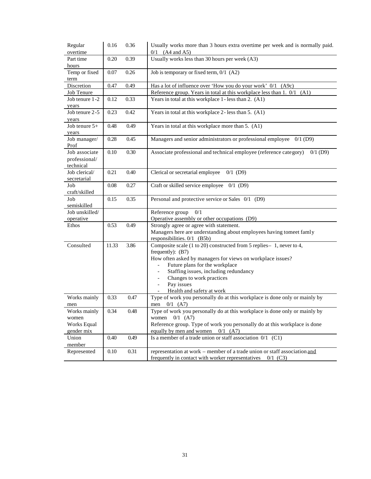| Regular<br>overtime                         | 0.16  | 0.36 | Usually works more than 3 hours extra overtime per week and is normally paid.<br>$0/1$ (A4 and A5)   |
|---------------------------------------------|-------|------|------------------------------------------------------------------------------------------------------|
| Part time                                   | 0.20  | 0.39 | Usually works less than 30 hours per week (A3)                                                       |
| hours                                       |       |      |                                                                                                      |
| Temp or fixed                               | 0.07  | 0.26 | Job is temporary or fixed term, 0/1 (A2)                                                             |
| term                                        |       |      |                                                                                                      |
| Discretion                                  | 0.47  | 0.49 | Has a lot of influence over 'How you do your work' 0/1 (A9c)                                         |
| Job Tenure                                  |       |      | Reference group. Years in total at this workplace less than 1. 0/1 (A1)                              |
| Job tenure 1-2<br>years                     | 0.12  | 0.33 | Years in total at this workplace 1-less than 2. (A1)                                                 |
| Job tenure 2-5<br>years                     | 0.23  | 0.42 | Years in total at this workplace 2-less than 5. (A1)                                                 |
| Job tenure $5+$                             | 0.48  | 0.49 | Years in total at this workplace more than 5. (A1)                                                   |
| years<br>Job manager/<br>Prof               | 0.28  | 0.45 | Managers and senior administrators or professional employee 0/1 (D9)                                 |
| Job associate<br>professional/<br>technical | 0.10  | 0.30 | Associate professional and technical employee (reference category)<br>$0/1$ (D9)                     |
| Job clerical/<br>secretarial                | 0.21  | 0.40 | Clerical or secretarial employee<br>$0/1$ (D9)                                                       |
| Job<br>craft/skilled                        | 0.08  | 0.27 | Craft or skilled service employee 0/1 (D9)                                                           |
| Job<br>semiskilled                          | 0.15  | 0.35 | Personal and protective service or Sales 0/1 (D9)                                                    |
| Job unskilled/                              |       |      | Reference group<br>0/1                                                                               |
| operative                                   |       |      | Operative assembly or other occupations (D9)                                                         |
| Ethos                                       | 0.53  | 0.49 | Strongly agree or agree with statement.                                                              |
|                                             |       |      | Managers here are understanding about employees having tomeet famly<br>responsibilities. $0/1$ (B5b) |
| Consulted                                   | 11.33 | 3.86 | Composite scale (1 to 20) constructed from 5 replies - 1, never to 4,<br>frequently): (B7)           |
|                                             |       |      | How often asked by managers for views on workplace issues?                                           |
|                                             |       |      | Future plans for the workplace                                                                       |
|                                             |       |      | Staffing issues, including redundancy<br>$\overline{\phantom{a}}$                                    |
|                                             |       |      | Changes to work practices                                                                            |
|                                             |       |      | Pay issues                                                                                           |
|                                             |       |      | Health and safety at work                                                                            |
| Works mainly                                | 0.33  | 0.47 | Type of work you personally do at this workplace is done only or mainly by                           |
| men                                         |       |      | men $0/1$ (A7)                                                                                       |
| Works mainly<br>women                       | 0.34  | 0.48 | Type of work you personally do at this workplace is done only or mainly by<br>women $0/1$ (A7)       |
| Works Equal                                 |       |      | Reference group. Type of work you personally do at this workplace is done                            |
| gender mix                                  |       |      | equally by men and women $0/1$ (A7)                                                                  |
| Union<br>member                             | 0.40  | 0.49 | Is a member of a trade union or staff association $0/1$ (C1)                                         |
| Represented                                 | 0.10  | 0.31 | representation at work – member of a trade union or staff association and                            |
|                                             |       |      | frequently in contact with worker representatives $0/1$ (C3)                                         |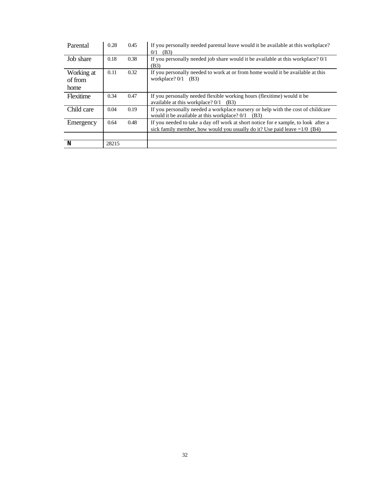| Parental              | 0.28  | 0.45 | If you personally needed parental leave would it be available at this workplace?<br>0/1<br>(B3)                                                                  |
|-----------------------|-------|------|------------------------------------------------------------------------------------------------------------------------------------------------------------------|
| Job share             | 0.18  | 0.38 | If you personally needed job share would it be available at this workplace? $0/1$<br>(B3)                                                                        |
| Working at<br>of from | 0.11  | 0.32 | If you personally needed to work at or from home would it be available at this<br>workplace? 0/1<br>(B3)                                                         |
| home                  |       |      |                                                                                                                                                                  |
| <b>Flexitime</b>      | 0.34  | 0.47 | If you personally needed flexible working hours (flexitime) would it be<br>available at this workplace? $0/1$ (B3)                                               |
| Child care            | 0.04  | 0.19 | If you personally needed a workplace nursery or help with the cost of childcare<br>would it be available at this workplace? 0/1<br>(B3)                          |
| Emergency             | 0.64  | 0.48 | If you needed to take a day off work at short notice for example, to look after a<br>sick family member, how would you usually do it? Use paid leave $=1/0$ (B4) |
|                       |       |      |                                                                                                                                                                  |
| N                     | 28215 |      |                                                                                                                                                                  |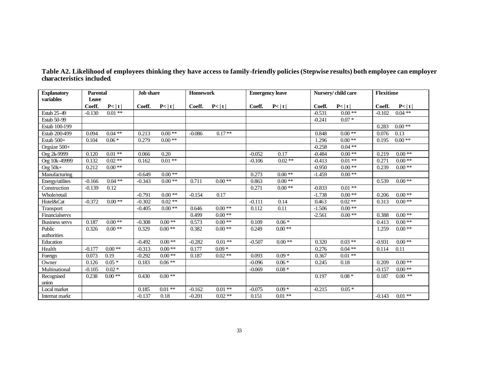| <b>Explanatory</b> | <b>Parental</b> |           | <b>Job</b> share |          | <b>Homework</b> |           | <b>Emergency leave</b> |          | Nursery/child care |           | <b>Flexitime</b> |           |
|--------------------|-----------------|-----------|------------------|----------|-----------------|-----------|------------------------|----------|--------------------|-----------|------------------|-----------|
| variables          | Leave           |           |                  |          |                 |           |                        |          |                    |           |                  |           |
|                    | Coeff.          | P< t      | Coeff.           | P< t     | Coeff.          | P< t      | Coeff.                 | P< t     | Coeff.             | P< t      | Coeff.           | P< t      |
| Estab 25-49        | $-0.130$        | $0.01**$  |                  |          |                 |           |                        |          | $-0.531$           | $0.00*$   | $-0.102$         | $0.04**$  |
| Estab 50-99        |                 |           |                  |          |                 |           |                        |          | $-0.241$           | $0.07 *$  |                  |           |
| Estab 100-199      |                 |           |                  |          |                 |           |                        |          |                    |           | 0.283            | $0.00**$  |
| Estab 200-499      | 0.094           | $0.04$ ** | 0.213            | $0.00**$ | $-0.086$        | $0.17**$  |                        |          | 0.848              | $0.00**$  | 0.076            | 0.13      |
| Estab 500+         | 0.104           | $0.06*$   | 0.279            | $0.00**$ |                 |           |                        |          | 1.296              | $0.00**$  | 0.195            | $0.00**$  |
| Orgsize 500+       |                 |           |                  |          |                 |           |                        |          | $-0.258$           | $0.04**$  |                  |           |
| Org 2k-9999        | 0.120           | $0.01**$  | 0.066            | 0.20     |                 |           | $-0.052$               | 0.17     | $-0.484$           | $0.00**$  | 0.219            | $0.00**$  |
| Org 10k-49999      | 0.132           | $0.02**$  | 0.162            | $0.01**$ |                 |           | $-0.106$               | $0.02**$ | $-0.413$           | $0.01**$  | 0.271            | $0.00**$  |
| Org $50k+$         | 0.212           | $0.00**$  |                  |          |                 |           |                        |          | $-0.950$           | $0.00**$  | 0.239            | $0.00**$  |
| Manufacturing      |                 |           | $-0.649$         | $0.00**$ |                 |           | 0.273                  | $0.00**$ | $-1.459$           | $0.00**$  |                  |           |
| Energy/utilites    | $-0.166$        | $0.04**$  | $-0.343$         | $0.00**$ | 0.711           | $0.00**$  | 0.863                  | $0.00**$ |                    |           | 0.539            | $0.00**$  |
| Construction       | $-0.139$        | 0.12      |                  |          |                 |           | 0.271                  | $0.00**$ | $-0.833$           | $0.01$ ** |                  |           |
| Whole/retail       |                 |           | $-0.791$         | $0.00**$ | $-0.154$        | 0.17      |                        |          | $-1.738$           | $0.00**$  | 0.206            | $0.00**$  |
| Hotel&Cat          | $-0.372$        | $0.00**$  | $-0.302$         | $0.02**$ |                 |           | $-0.111$               | 0.14     | 0.463              | $0.02**$  | 0.313            | $0.00**$  |
| Transport          |                 |           | $-0.405$         | $0.00**$ | 0.646           | $0.00**$  | 0.112                  | 0.11     | $-1.506$           | $0.00**$  |                  |           |
| Financialservs     |                 |           |                  |          | 0.499           | $0.00**$  |                        |          | $-2.561$           | $0.00**$  | 0.388            | $0.00**$  |
| Business servs     | 0.187           | $0.00**$  | $-0.308$         | $0.00**$ | 0.573           | $0.00**$  | 0.109                  | $0.06*$  |                    |           | 0.413            | $0.00**$  |
| Public             | 0.326           | $0.00**$  | 0.329            | $0.00**$ | 0.382           | $0.00**$  | 0.249                  | $0.00**$ |                    |           | 1.259            | $0.00**$  |
| authorities        |                 |           |                  |          |                 |           |                        |          |                    |           |                  |           |
| Education          |                 |           | $-0.492$         | $0.00**$ | $-0.282$        | $0.01$ ** | $-0.507$               | $0.00**$ | 0.320              | $0.03**$  | $-0.931$         | $0.00**$  |
| Health             | $-0.177$        | $0.00**$  | $-0.313$         | $0.00**$ | 0.177           | $0.09*$   |                        |          | 0.276              | $0.04**$  | 0.114            | 0.11      |
| Foreign            | 0.073           | 0.19      | $-0.292$         | $0.00**$ | 0.187           | $0.02**$  | 0.093                  | $0.09*$  | 0.367              | $0.01**$  |                  |           |
| Owner              | 0.126           | $0.05*$   | 0.183            | $0.06**$ |                 |           | $-0.096$               | $0.06*$  | 0.245              | 0.18      | 0.209            | $0.00**$  |
| Multinational      | $-0.105$        | $0.02*$   |                  |          |                 |           | $-0.069$               | $0.08 *$ |                    |           | $-0.157$         | $0.00**$  |
| Recognised         | 0.238           | $0.00**$  | 0.430            | $0.00**$ |                 |           |                        |          | 0.197              | $0.08 *$  | 0.187            | $0.00$ ** |
| union              |                 |           |                  |          |                 |           |                        |          |                    |           |                  |           |
| Local market       |                 |           | 0.185            | $0.01**$ | $-0.162$        | $0.01**$  | $-0.075$               | $0.09*$  | $-0.215$           | $0.05*$   |                  |           |
| Internat markt     |                 |           | $-0.137$         | 0.18     | $-0.201$        | $0.02**$  | 0.151                  | $0.01**$ |                    |           | $-0.143$         | $0.01**$  |

**Table A2. Likelihood of employees thinking they have access to family-friendly policies (Stepwise results) both employee can employer characteristics included**.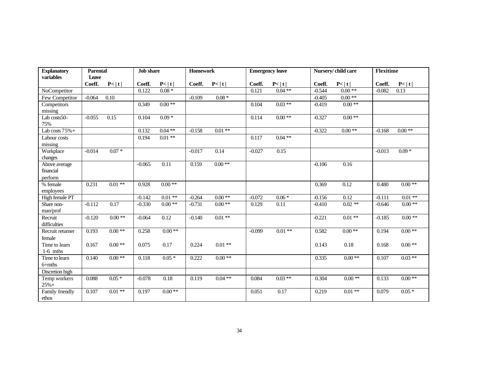| <b>Explanatory</b>          | <b>Parental</b> |            | <b>Job</b> share |          |          | <b>Homework</b> |          | <b>Emergency leave</b> |          | Nursery/child care |          | Flexitime  |  |
|-----------------------------|-----------------|------------|------------------|----------|----------|-----------------|----------|------------------------|----------|--------------------|----------|------------|--|
| variables                   | Leave           |            |                  |          |          |                 |          |                        |          |                    |          |            |  |
|                             | Coeff.          | P< t       | Coeff.           | P< t     | Coeff.   | P< t            | Coeff.   | P< t                   | Coeff.   | P< t <br>$0.00**$  | Coeff.   | P< t       |  |
| NoCompetitor                |                 |            | 0.122            | $0.08 *$ |          |                 | 0.121    | $0.04**$               | $-0.544$ |                    | $-0.082$ | 0.13       |  |
| Few Competitor              | $-0.064$        | 0.10       |                  |          | $-0.109$ | $0.08 *$        |          |                        | $-0.405$ | $0.00**$           |          |            |  |
| Competitors<br>missing      |                 |            | 0.349            | $0.00**$ |          |                 | 0.104    | $0.03**$               | $-0.419$ | $0.00**$           |          |            |  |
| Lab costs50-<br>75%         | $-0.055$        | 0.15       | 0.104            | $0.09 *$ |          |                 | 0.114    | $0.00**$               | $-0.327$ | $0.00**$           |          |            |  |
| Lab costs $75% +$           |                 |            | 0.132            | $0.04**$ | $-0.158$ | $0.01**$        |          |                        | $-0.322$ | $0.00**$           | $-0.168$ | $0.00\;**$ |  |
| Labour costs                |                 |            | 0.194            | $0.01**$ |          |                 | 0.117    | $0.04$ **              |          |                    |          |            |  |
| missing                     |                 |            |                  |          |          |                 |          |                        |          |                    |          |            |  |
| Workplace<br>changes        | $-0.014$        | $0.07 *$   |                  |          | $-0.017$ | 0.14            | $-0.027$ | 0.15                   |          |                    | $-0.013$ | $0.09*$    |  |
| Above average<br>financial  |                 |            | $-0.065$         | 0.11     | 0.159    | $0.00**$        |          |                        | $-0.106$ | $\overline{0.16}$  |          |            |  |
| perform                     |                 |            |                  |          |          |                 |          |                        |          |                    |          |            |  |
| % female<br>employees       | 0.231           | $0.01**$   | 0.928            | $0.00**$ |          |                 |          |                        | 0.369    | 0.12               | 0.480    | $0.00\;**$ |  |
| High female PT              |                 |            | $-0.142$         | $0.01**$ | $-0.264$ | $0.00**$        | $-0.072$ | $0.06*$                | $-0.156$ | 0.12               | $-0.111$ | $0.01**$   |  |
| Share non-<br>man/prof      | $-0.112$        | 0.17       | $-0.330$         | $0.00**$ | $-0.731$ | $0.00**$        | 0.129    | 0.11                   | $-0.410$ | $0.02$ **          | $-0.646$ | $0.00**$   |  |
| Recruit<br>difficulties     | $-0.120$        | $0.00**$   | $-0.064$         | 0.12     | $-0.140$ | $0.01**$        |          |                        | $-0.221$ | $0.01**$           | $-0.185$ | $0.00**$   |  |
| Recruit returner            | 0.193           | $0.00**$   | 0.258            | $0.00**$ |          |                 | $-0.099$ | $0.01**$               | 0.582    | $0.00**$           | 0.194    | $0.00**$   |  |
| female                      |                 |            |                  |          |          |                 |          |                        |          |                    |          |            |  |
| Time to learn<br>$1-6$ mths | 0.167           | $0.00**$   | 0.075            | 0.17     | 0.224    | $0.01**$        |          |                        | 0.143    | 0.18               | 0.168    | $0.00\;**$ |  |
| Time to learn               | 0.140           | $0.00**$   | 0.118            | $0.05*$  | 0.222    | $0.00**$        |          |                        | 0.335    | $0.00**$           | 0.107    | $0.03$ **  |  |
| $6+$ mths                   |                 |            |                  |          |          |                 |          |                        |          |                    |          |            |  |
| Discretion high             |                 |            |                  |          |          |                 |          |                        |          |                    |          |            |  |
| Temp workers<br>$25% +$     | 0.088           | $0.05*$    | $-0.078$         | 0.18     | 0.119    | $0.04**$        | 0.084    | $0.03**$               | 0.304    | $0.00**$           | 0.133    | $0.00**$   |  |
| Family friendly<br>ethos    | 0.107           | $0.01\;**$ | 0.197            | $0.00**$ |          |                 | 0.051    | 0.17                   | 0.219    | $0.01**$           | 0.079    | $0.05 *$   |  |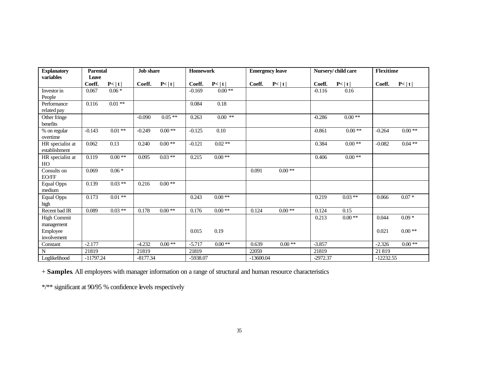| <b>Explanatory</b>    | <b>Parental</b> |                  | <b>Job</b> share |           | <b>Homework</b> |          | <b>Emergency leave</b> |            | Nursery/child care |               | <b>Flexitime</b> |          |
|-----------------------|-----------------|------------------|------------------|-----------|-----------------|----------|------------------------|------------|--------------------|---------------|------------------|----------|
| variables             | Leave<br>Coeff. |                  | Coeff.           |           | Coeff.          | P< t     | Coeff.                 |            | Coeff.             |               | Coeff.           |          |
| Investor in           | 0.067           | P< t <br>$0.06*$ |                  | P< t      | $-0.169$        | $0.00**$ |                        | P< t       | $-0.116$           | P< t <br>0.16 |                  | P< t     |
|                       |                 |                  |                  |           |                 |          |                        |            |                    |               |                  |          |
| People<br>Performance | 0.116           | $0.01**$         |                  |           | 0.084           | 0.18     |                        |            |                    |               |                  |          |
| related pay           |                 |                  |                  |           |                 |          |                        |            |                    |               |                  |          |
| Other fringe          |                 |                  | $-0.090$         | $0.05**$  | 0.263           | $0.00*$  |                        |            | $-0.286$           | $0.00**$      |                  |          |
| benefits              |                 |                  |                  |           |                 |          |                        |            |                    |               |                  |          |
| % on regular          | $-0.143$        | $0.01**$         | $-0.249$         | $0.00**$  | $-0.125$        | 0.10     |                        |            | $-0.861$           | $0.00**$      | $-0.264$         | $0.00**$ |
| overtime              |                 |                  |                  |           |                 |          |                        |            |                    |               |                  |          |
| HR specialist at      | 0.062           | 0.13             | 0.240            | $0.00**$  | $-0.121$        | $0.02**$ |                        |            | 0.384              | $0.00**$      | $-0.082$         | $0.04**$ |
| establishment         |                 |                  |                  |           |                 |          |                        |            |                    |               |                  |          |
| HR specialist at      | 0.119           | $0.00**$         | 0.095            | $0.03$ ** | 0.215           | $0.00**$ |                        |            | 0.406              | $0.00**$      |                  |          |
| HO                    |                 |                  |                  |           |                 |          |                        |            |                    |               |                  |          |
| Consults on           | 0.069           | $0.06*$          |                  |           |                 |          | 0.091                  | $0.00\,**$ |                    |               |                  |          |
| EO/FF                 |                 |                  |                  |           |                 |          |                        |            |                    |               |                  |          |
| <b>Equal Opps</b>     | 0.139           | $0.03**$         | 0.216            | $0.00**$  |                 |          |                        |            |                    |               |                  |          |
| medium                |                 |                  |                  |           |                 |          |                        |            |                    |               |                  |          |
| <b>Equal Opps</b>     | 0.173           | $0.01**$         |                  |           | 0.243           | $0.00**$ |                        |            | 0.219              | $0.03**$      | 0.066            | $0.07 *$ |
| high                  |                 |                  |                  |           |                 |          |                        |            |                    |               |                  |          |
| Recent bad IR         | 0.089           | $0.03**$         | 0.178            | $0.00**$  | 0.176           | $0.00**$ | 0.124                  | $0.00\,**$ | 0.124              | 0.15          |                  |          |
| <b>High Commit</b>    |                 |                  |                  |           |                 |          |                        |            | 0.213              | $0.00**$      | 0.044            | $0.09*$  |
| management            |                 |                  |                  |           |                 |          |                        |            |                    |               |                  |          |
| Employee              |                 |                  |                  |           | 0.015           | 0.19     |                        |            |                    |               | 0.021            | $0.00**$ |
| involvement           |                 |                  |                  |           |                 |          |                        |            |                    |               |                  |          |
| Constant              | $-2.177$        |                  | $-4.232$         | $0.00**$  | $-5.717$        | $0.00**$ | 0.639                  | $0.00**$   | $-3.857$           |               | $-2.326$         | $0.00**$ |
| N                     | 21819           |                  | 21819            |           | 21819           |          | 22059                  |            | 21819              |               | 21819            |          |
| Loglikelihood         | $-11797.24$     |                  | $-8177.34$       |           | $-5938.07$      |          | $-13600.04$            |            | $-2972.37$         |               | $-12232.55$      |          |

+ **Samples**. All employees with manager information on a range of structural and human resource characteristics

\*/\*\* significant at 90/95 % confidence levels respectively